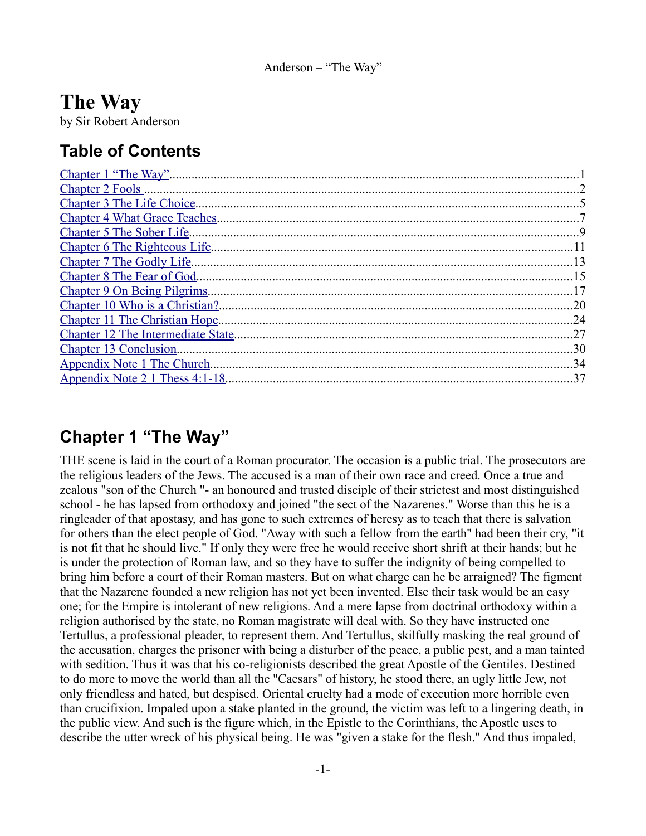# **The Way**

by Sir Robert Anderson

# **Table of Contents**

|                                           | 2   |
|-------------------------------------------|-----|
| Chapter 3 The Life Choice.                |     |
|                                           |     |
|                                           | 9   |
| Chapter 6 The Righteous Life.             |     |
| Chapter 7 The Godly Life.                 | -13 |
| Chapter 8 The Fear of God.                | -15 |
| Chapter 9 On Being Pilgrims               |     |
| Chapter 10 Who is a Christian?.           | .20 |
| Chapter 11 The Christian Hope.            | 24  |
| <b>Chapter 12 The Intermediate State.</b> | .27 |
| Chapter 13 Conclusion.                    | 30  |
| Appendix Note 1 The Church                | -34 |
| Appendix Note 2 1 Thess 4:1-18.           | .37 |

## <span id="page-0-0"></span>**Chapter 1 "The Way"**

THE scene is laid in the court of a Roman procurator. The occasion is a public trial. The prosecutors are the religious leaders of the Jews. The accused is a man of their own race and creed. Once a true and zealous "son of the Church "- an honoured and trusted disciple of their strictest and most distinguished school - he has lapsed from orthodoxy and joined "the sect of the Nazarenes." Worse than this he is a ringleader of that apostasy, and has gone to such extremes of heresy as to teach that there is salvation for others than the elect people of God. "Away with such a fellow from the earth" had been their cry, "it is not fit that he should live." If only they were free he would receive short shrift at their hands; but he is under the protection of Roman law, and so they have to suffer the indignity of being compelled to bring him before a court of their Roman masters. But on what charge can he be arraigned? The figment that the Nazarene founded a new religion has not yet been invented. Else their task would be an easy one; for the Empire is intolerant of new religions. And a mere lapse from doctrinal orthodoxy within a religion authorised by the state, no Roman magistrate will deal with. So they have instructed one Tertullus, a professional pleader, to represent them. And Tertullus, skilfully masking the real ground of the accusation, charges the prisoner with being a disturber of the peace, a public pest, and a man tainted with sedition. Thus it was that his co-religionists described the great Apostle of the Gentiles. Destined to do more to move the world than all the "Caesars" of history, he stood there, an ugly little Jew, not only friendless and hated, but despised. Oriental cruelty had a mode of execution more horrible even than crucifixion. Impaled upon a stake planted in the ground, the victim was left to a lingering death, in the public view. And such is the figure which, in the Epistle to the Corinthians, the Apostle uses to describe the utter wreck of his physical being. He was "given a stake for the flesh." And thus impaled,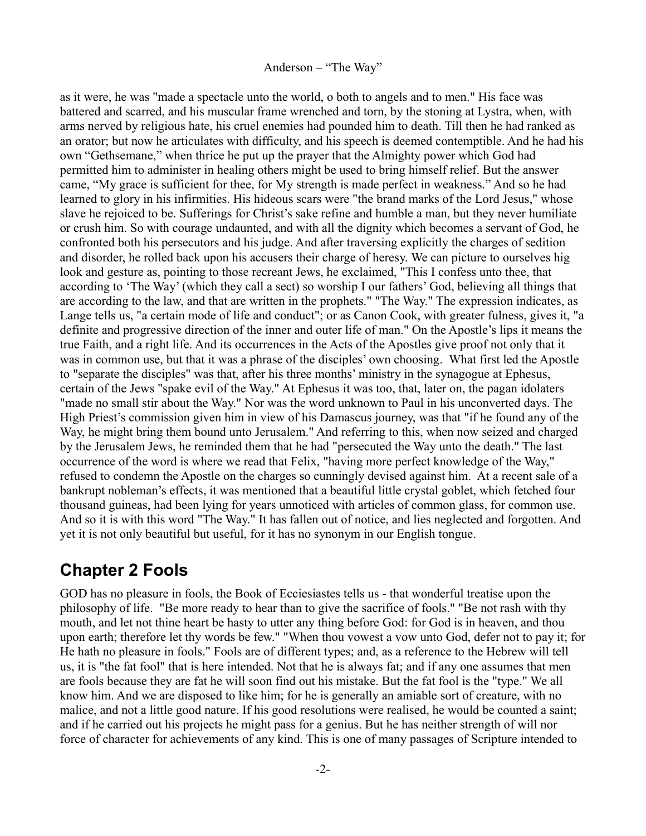as it were, he was "made a spectacle unto the world, o both to angels and to men." His face was battered and scarred, and his muscular frame wrenched and torn, by the stoning at Lystra, when, with arms nerved by religious hate, his cruel enemies had pounded him to death. Till then he had ranked as an orator; but now he articulates with difficulty, and his speech is deemed contemptible. And he had his own "Gethsemane," when thrice he put up the prayer that the Almighty power which God had permitted him to administer in healing others might be used to bring himself relief. But the answer came, "My grace is sufficient for thee, for My strength is made perfect in weakness." And so he had learned to glory in his infirmities. His hideous scars were "the brand marks of the Lord Jesus," whose slave he rejoiced to be. Sufferings for Christ's sake refine and humble a man, but they never humiliate or crush him. So with courage undaunted, and with all the dignity which becomes a servant of God, he confronted both his persecutors and his judge. And after traversing explicitly the charges of sedition and disorder, he rolled back upon his accusers their charge of heresy. We can picture to ourselves hig look and gesture as, pointing to those recreant Jews, he exclaimed, "This I confess unto thee, that according to 'The Way' (which they call a sect) so worship I our fathers' God, believing all things that are according to the law, and that are written in the prophets." "The Way." The expression indicates, as Lange tells us, "a certain mode of life and conduct"; or as Canon Cook, with greater fulness, gives it, "a definite and progressive direction of the inner and outer life of man." On the Apostle's lips it means the true Faith, and a right life. And its occurrences in the Acts of the Apostles give proof not only that it was in common use, but that it was a phrase of the disciples' own choosing. What first led the Apostle to "separate the disciples" was that, after his three months' ministry in the synagogue at Ephesus, certain of the Jews "spake evil of the Way." At Ephesus it was too, that, later on, the pagan idolaters "made no small stir about the Way." Nor was the word unknown to Paul in his unconverted days. The High Priest's commission given him in view of his Damascus journey, was that "if he found any of the Way, he might bring them bound unto Jerusalem." And referring to this, when now seized and charged by the Jerusalem Jews, he reminded them that he had "persecuted the Way unto the death." The last occurrence of the word is where we read that Felix, "having more perfect knowledge of the Way," refused to condemn the Apostle on the charges so cunningly devised against him. At a recent sale of a bankrupt nobleman's effects, it was mentioned that a beautiful little crystal goblet, which fetched four thousand guineas, had been lying for years unnoticed with articles of common glass, for common use. And so it is with this word "The Way." It has fallen out of notice, and lies neglected and forgotten. And yet it is not only beautiful but useful, for it has no synonym in our English tongue.

## <span id="page-1-0"></span>**Chapter 2 Fools**

GOD has no pleasure in fools, the Book of Ecciesiastes tells us - that wonderful treatise upon the philosophy of life. "Be more ready to hear than to give the sacrifice of fools." "Be not rash with thy mouth, and let not thine heart be hasty to utter any thing before God: for God is in heaven, and thou upon earth; therefore let thy words be few." "When thou vowest a vow unto God, defer not to pay it; for He hath no pleasure in fools." Fools are of different types; and, as a reference to the Hebrew will tell us, it is "the fat fool" that is here intended. Not that he is always fat; and if any one assumes that men are fools because they are fat he will soon find out his mistake. But the fat fool is the "type." We all know him. And we are disposed to like him; for he is generally an amiable sort of creature, with no malice, and not a little good nature. If his good resolutions were realised, he would be counted a saint; and if he carried out his projects he might pass for a genius. But he has neither strength of will nor force of character for achievements of any kind. This is one of many passages of Scripture intended to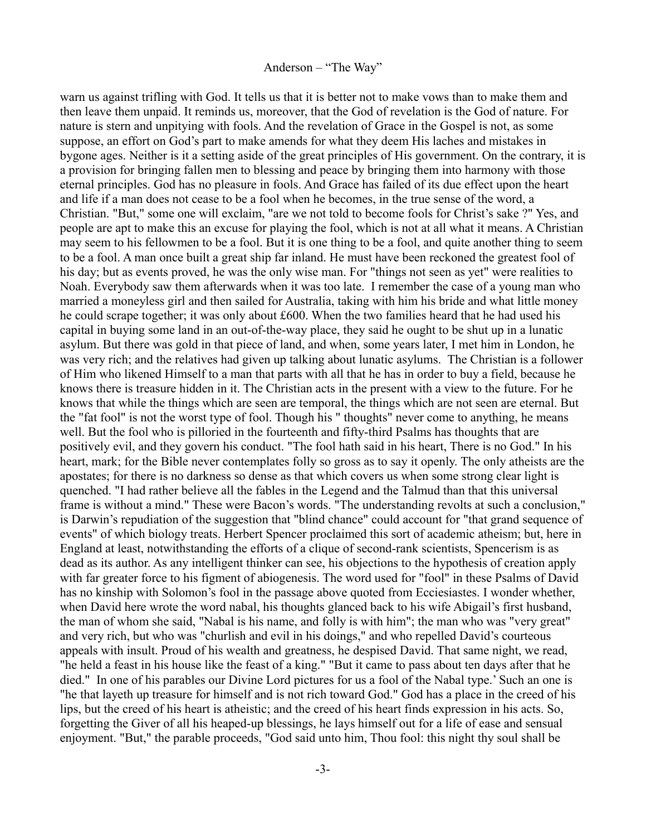warn us against trifling with God. It tells us that it is better not to make vows than to make them and then leave them unpaid. It reminds us, moreover, that the God of revelation is the God of nature. For nature is stern and unpitying with fools. And the revelation of Grace in the Gospel is not, as some suppose, an effort on God's part to make amends for what they deem His laches and mistakes in bygone ages. Neither is it a setting aside of the great principles of His government. On the contrary, it is a provision for bringing fallen men to blessing and peace by bringing them into harmony with those eternal principles. God has no pleasure in fools. And Grace has failed of its due effect upon the heart and life if a man does not cease to be a fool when he becomes, in the true sense of the word, a Christian. "But," some one will exclaim, "are we not told to become fools for Christ's sake ?" Yes, and people are apt to make this an excuse for playing the fool, which is not at all what it means. A Christian may seem to his fellowmen to be a fool. But it is one thing to be a fool, and quite another thing to seem to be a fool. A man once built a great ship far inland. He must have been reckoned the greatest fool of his day; but as events proved, he was the only wise man. For "things not seen as yet" were realities to Noah. Everybody saw them afterwards when it was too late. I remember the case of a young man who married a moneyless girl and then sailed for Australia, taking with him his bride and what little money he could scrape together; it was only about £600. When the two families heard that he had used his capital in buying some land in an out-of-the-way place, they said he ought to be shut up in a lunatic asylum. But there was gold in that piece of land, and when, some years later, I met him in London, he was very rich; and the relatives had given up talking about lunatic asylums. The Christian is a follower of Him who likened Himself to a man that parts with all that he has in order to buy a field, because he knows there is treasure hidden in it. The Christian acts in the present with a view to the future. For he knows that while the things which are seen are temporal, the things which are not seen are eternal. But the "fat fool" is not the worst type of fool. Though his " thoughts" never come to anything, he means well. But the fool who is pilloried in the fourteenth and fifty-third Psalms has thoughts that are positively evil, and they govern his conduct. "The fool hath said in his heart, There is no God." In his heart, mark; for the Bible never contemplates folly so gross as to say it openly. The only atheists are the apostates; for there is no darkness so dense as that which covers us when some strong clear light is quenched. "I had rather believe all the fables in the Legend and the Talmud than that this universal frame is without a mind." These were Bacon's words. "The understanding revolts at such a conclusion," is Darwin's repudiation of the suggestion that "blind chance" could account for "that grand sequence of events" of which biology treats. Herbert Spencer proclaimed this sort of academic atheism; but, here in England at least, notwithstanding the efforts of a clique of second-rank scientists, Spencerism is as dead as its author. As any intelligent thinker can see, his objections to the hypothesis of creation apply with far greater force to his figment of abiogenesis. The word used for "fool" in these Psalms of David has no kinship with Solomon's fool in the passage above quoted from Ecciesiastes. I wonder whether, when David here wrote the word nabal, his thoughts glanced back to his wife Abigail's first husband, the man of whom she said, "Nabal is his name, and folly is with him"; the man who was "very great" and very rich, but who was "churlish and evil in his doings," and who repelled David's courteous appeals with insult. Proud of his wealth and greatness, he despised David. That same night, we read, "he held a feast in his house like the feast of a king." "But it came to pass about ten days after that he died." In one of his parables our Divine Lord pictures for us a fool of the Nabal type.' Such an one is "he that layeth up treasure for himself and is not rich toward God." God has a place in the creed of his lips, but the creed of his heart is atheistic; and the creed of his heart finds expression in his acts. So, forgetting the Giver of all his heaped-up blessings, he lays himself out for a life of ease and sensual enjoyment. "But," the parable proceeds, "God said unto him, Thou fool: this night thy soul shall be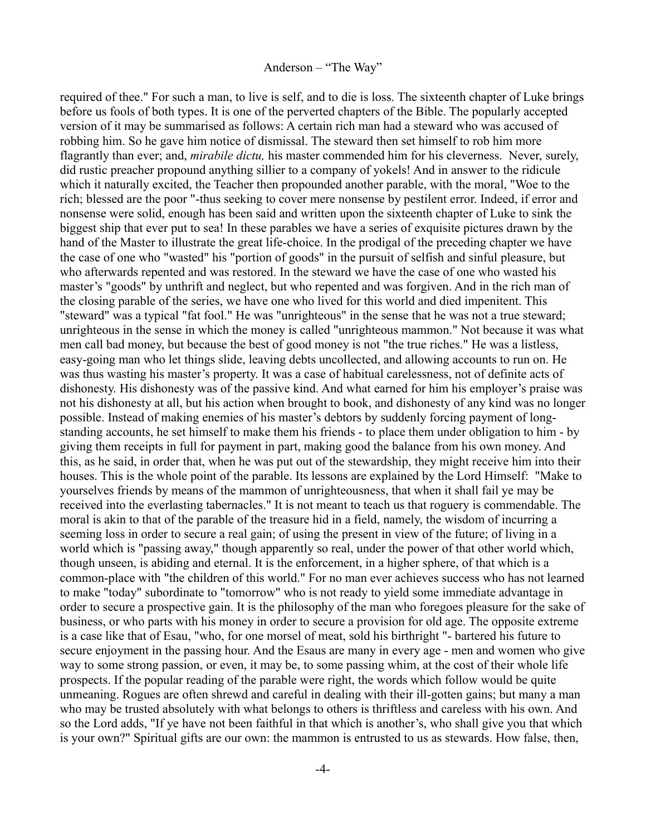required of thee." For such a man, to live is self, and to die is loss. The sixteenth chapter of Luke brings before us fools of both types. It is one of the perverted chapters of the Bible. The popularly accepted version of it may be summarised as follows: A certain rich man had a steward who was accused of robbing him. So he gave him notice of dismissal. The steward then set himself to rob him more flagrantly than ever; and, *mirabile dictu,* his master commended him for his cleverness. Never, surely, did rustic preacher propound anything sillier to a company of yokels! And in answer to the ridicule which it naturally excited, the Teacher then propounded another parable, with the moral, "Woe to the rich; blessed are the poor "-thus seeking to cover mere nonsense by pestilent error. Indeed, if error and nonsense were solid, enough has been said and written upon the sixteenth chapter of Luke to sink the biggest ship that ever put to sea! In these parables we have a series of exquisite pictures drawn by the hand of the Master to illustrate the great life-choice. In the prodigal of the preceding chapter we have the case of one who "wasted" his "portion of goods" in the pursuit of selfish and sinful pleasure, but who afterwards repented and was restored. In the steward we have the case of one who wasted his master's "goods" by unthrift and neglect, but who repented and was forgiven. And in the rich man of the closing parable of the series, we have one who lived for this world and died impenitent. This "steward" was a typical "fat fool." He was "unrighteous" in the sense that he was not a true steward; unrighteous in the sense in which the money is called "unrighteous mammon." Not because it was what men call bad money, but because the best of good money is not "the true riches." He was a listless, easy-going man who let things slide, leaving debts uncollected, and allowing accounts to run on. He was thus wasting his master's property. It was a case of habitual carelessness, not of definite acts of dishonesty. His dishonesty was of the passive kind. And what earned for him his employer's praise was not his dishonesty at all, but his action when brought to book, and dishonesty of any kind was no longer possible. Instead of making enemies of his master's debtors by suddenly forcing payment of longstanding accounts, he set himself to make them his friends - to place them under obligation to him - by giving them receipts in full for payment in part, making good the balance from his own money. And this, as he said, in order that, when he was put out of the stewardship, they might receive him into their houses. This is the whole point of the parable. Its lessons are explained by the Lord Himself: "Make to yourselves friends by means of the mammon of unrighteousness, that when it shall fail ye may be received into the everlasting tabernacles." It is not meant to teach us that roguery is commendable. The moral is akin to that of the parable of the treasure hid in a field, namely, the wisdom of incurring a seeming loss in order to secure a real gain; of using the present in view of the future; of living in a world which is "passing away," though apparently so real, under the power of that other world which, though unseen, is abiding and eternal. It is the enforcement, in a higher sphere, of that which is a common-place with "the children of this world." For no man ever achieves success who has not learned to make "today" subordinate to "tomorrow" who is not ready to yield some immediate advantage in order to secure a prospective gain. It is the philosophy of the man who foregoes pleasure for the sake of business, or who parts with his money in order to secure a provision for old age. The opposite extreme is a case like that of Esau, "who, for one morsel of meat, sold his birthright "- bartered his future to secure enjoyment in the passing hour. And the Esaus are many in every age - men and women who give way to some strong passion, or even, it may be, to some passing whim, at the cost of their whole life prospects. If the popular reading of the parable were right, the words which follow would be quite unmeaning. Rogues are often shrewd and careful in dealing with their ill-gotten gains; but many a man who may be trusted absolutely with what belongs to others is thriftless and careless with his own. And so the Lord adds, "If ye have not been faithful in that which is another's, who shall give you that which is your own?" Spiritual gifts are our own: the mammon is entrusted to us as stewards. How false, then,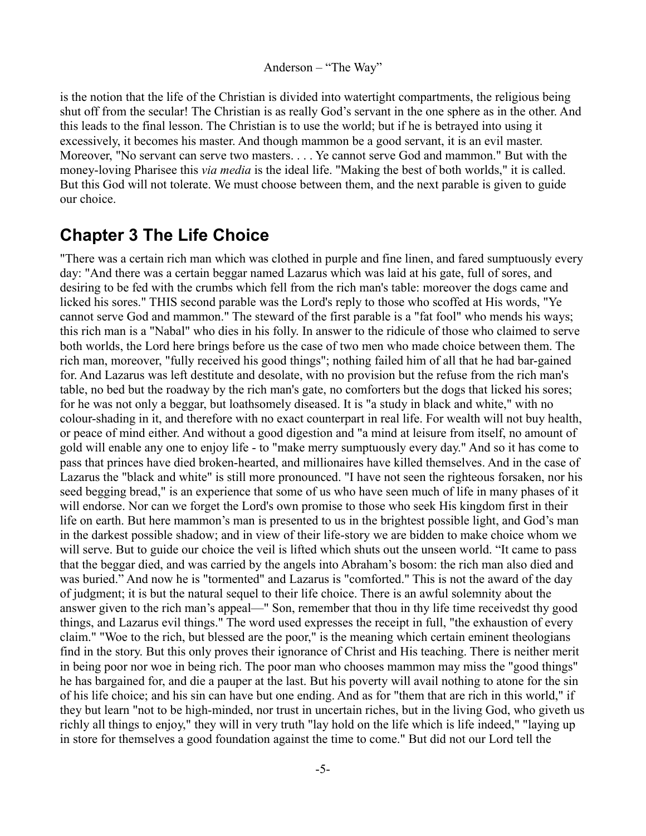is the notion that the life of the Christian is divided into watertight compartments, the religious being shut off from the secular! The Christian is as really God's servant in the one sphere as in the other. And this leads to the final lesson. The Christian is to use the world; but if he is betrayed into using it excessively, it becomes his master. And though mammon be a good servant, it is an evil master. Moreover, "No servant can serve two masters. . . . Ye cannot serve God and mammon." But with the money-loving Pharisee this *via media* is the ideal life. "Making the best of both worlds," it is called. But this God will not tolerate. We must choose between them, and the next parable is given to guide our choice.

## <span id="page-4-0"></span>**Chapter 3 The Life Choice**

"There was a certain rich man which was clothed in purple and fine linen, and fared sumptuously every day: "And there was a certain beggar named Lazarus which was laid at his gate, full of sores, and desiring to be fed with the crumbs which fell from the rich man's table: moreover the dogs came and licked his sores." THIS second parable was the Lord's reply to those who scoffed at His words, "Ye cannot serve God and mammon." The steward of the first parable is a "fat fool" who mends his ways; this rich man is a "Nabal" who dies in his folly. In answer to the ridicule of those who claimed to serve both worlds, the Lord here brings before us the case of two men who made choice between them. The rich man, moreover, "fully received his good things"; nothing failed him of all that he had bar-gained for. And Lazarus was left destitute and desolate, with no provision but the refuse from the rich man's table, no bed but the roadway by the rich man's gate, no comforters but the dogs that licked his sores; for he was not only a beggar, but loathsomely diseased. It is "a study in black and white," with no colour-shading in it, and therefore with no exact counterpart in real life. For wealth will not buy health, or peace of mind either. And without a good digestion and "a mind at leisure from itself, no amount of gold will enable any one to enjoy life - to "make merry sumptuously every day." And so it has come to pass that princes have died broken-hearted, and millionaires have killed themselves. And in the case of Lazarus the "black and white" is still more pronounced. "I have not seen the righteous forsaken, nor his seed begging bread," is an experience that some of us who have seen much of life in many phases of it will endorse. Nor can we forget the Lord's own promise to those who seek His kingdom first in their life on earth. But here mammon's man is presented to us in the brightest possible light, and God's man in the darkest possible shadow; and in view of their life-story we are bidden to make choice whom we will serve. But to guide our choice the veil is lifted which shuts out the unseen world. "It came to pass that the beggar died, and was carried by the angels into Abraham's bosom: the rich man also died and was buried." And now he is "tormented" and Lazarus is "comforted." This is not the award of the day of judgment; it is but the natural sequel to their life choice. There is an awful solemnity about the answer given to the rich man's appeal—" Son, remember that thou in thy life time receivedst thy good things, and Lazarus evil things." The word used expresses the receipt in full, "the exhaustion of every claim." "Woe to the rich, but blessed are the poor," is the meaning which certain eminent theologians find in the story. But this only proves their ignorance of Christ and His teaching. There is neither merit in being poor nor woe in being rich. The poor man who chooses mammon may miss the "good things" he has bargained for, and die a pauper at the last. But his poverty will avail nothing to atone for the sin of his life choice; and his sin can have but one ending. And as for "them that are rich in this world," if they but learn "not to be high-minded, nor trust in uncertain riches, but in the living God, who giveth us richly all things to enjoy," they will in very truth "lay hold on the life which is life indeed," "laying up in store for themselves a good foundation against the time to come." But did not our Lord tell the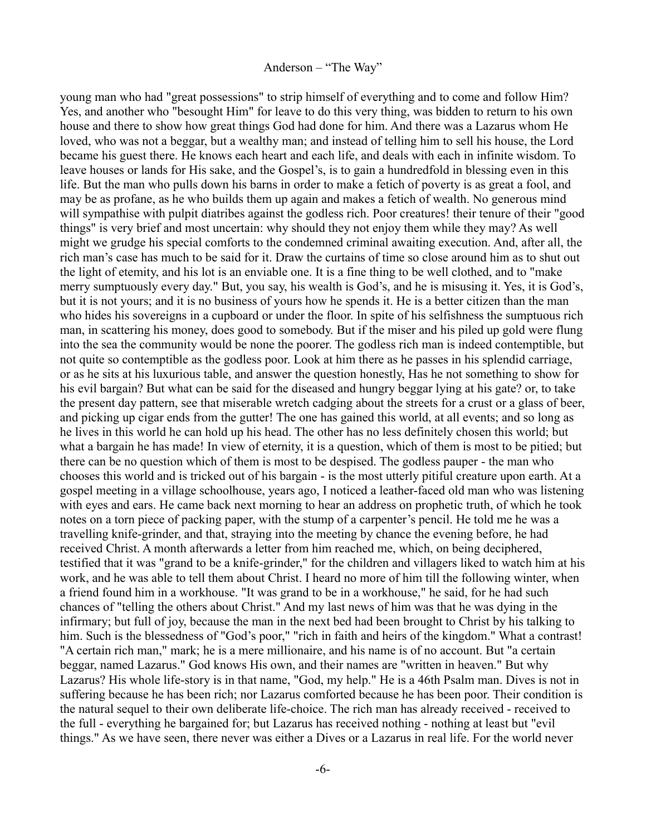young man who had "great possessions" to strip himself of everything and to come and follow Him? Yes, and another who "besought Him" for leave to do this very thing, was bidden to return to his own house and there to show how great things God had done for him. And there was a Lazarus whom He loved, who was not a beggar, but a wealthy man; and instead of telling him to sell his house, the Lord became his guest there. He knows each heart and each life, and deals with each in infinite wisdom. To leave houses or lands for His sake, and the Gospel's, is to gain a hundredfold in blessing even in this life. But the man who pulls down his barns in order to make a fetich of poverty is as great a fool, and may be as profane, as he who builds them up again and makes a fetich of wealth. No generous mind will sympathise with pulpit diatribes against the godless rich. Poor creatures! their tenure of their "good" things" is very brief and most uncertain: why should they not enjoy them while they may? As well might we grudge his special comforts to the condemned criminal awaiting execution. And, after all, the rich man's case has much to be said for it. Draw the curtains of time so close around him as to shut out the light of etemity, and his lot is an enviable one. It is a fine thing to be well clothed, and to "make merry sumptuously every day." But, you say, his wealth is God's, and he is misusing it. Yes, it is God's, but it is not yours; and it is no business of yours how he spends it. He is a better citizen than the man who hides his sovereigns in a cupboard or under the floor. In spite of his selfishness the sumptuous rich man, in scattering his money, does good to somebody. But if the miser and his piled up gold were flung into the sea the community would be none the poorer. The godless rich man is indeed contemptible, but not quite so contemptible as the godless poor. Look at him there as he passes in his splendid carriage, or as he sits at his luxurious table, and answer the question honestly, Has he not something to show for his evil bargain? But what can be said for the diseased and hungry beggar lying at his gate? or, to take the present day pattern, see that miserable wretch cadging about the streets for a crust or a glass of beer, and picking up cigar ends from the gutter! The one has gained this world, at all events; and so long as he lives in this world he can hold up his head. The other has no less definitely chosen this world; but what a bargain he has made! In view of eternity, it is a question, which of them is most to be pitied; but there can be no question which of them is most to be despised. The godless pauper - the man who chooses this world and is tricked out of his bargain - is the most utterly pitiful creature upon earth. At a gospel meeting in a village schoolhouse, years ago, I noticed a leather-faced old man who was listening with eyes and ears. He came back next morning to hear an address on prophetic truth, of which he took notes on a torn piece of packing paper, with the stump of a carpenter's pencil. He told me he was a travelling knife-grinder, and that, straying into the meeting by chance the evening before, he had received Christ. A month afterwards a letter from him reached me, which, on being deciphered, testified that it was "grand to be a knife-grinder," for the children and villagers liked to watch him at his work, and he was able to tell them about Christ. I heard no more of him till the following winter, when a friend found him in a workhouse. "It was grand to be in a workhouse," he said, for he had such chances of "telling the others about Christ." And my last news of him was that he was dying in the infirmary; but full of joy, because the man in the next bed had been brought to Christ by his talking to him. Such is the blessedness of "God's poor," "rich in faith and heirs of the kingdom." What a contrast! "A certain rich man," mark; he is a mere millionaire, and his name is of no account. But "a certain beggar, named Lazarus." God knows His own, and their names are "written in heaven." But why Lazarus? His whole life-story is in that name, "God, my help." He is a 46th Psalm man. Dives is not in suffering because he has been rich; nor Lazarus comforted because he has been poor. Their condition is the natural sequel to their own deliberate life-choice. The rich man has already received - received to the full - everything he bargained for; but Lazarus has received nothing - nothing at least but "evil things." As we have seen, there never was either a Dives or a Lazarus in real life. For the world never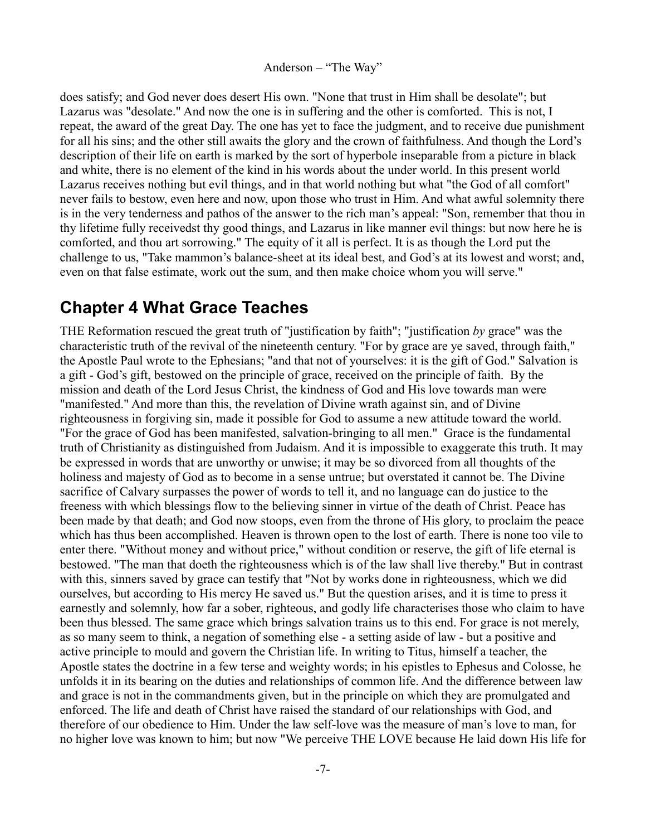does satisfy; and God never does desert His own. "None that trust in Him shall be desolate"; but Lazarus was "desolate." And now the one is in suffering and the other is comforted. This is not, I repeat, the award of the great Day. The one has yet to face the judgment, and to receive due punishment for all his sins; and the other still awaits the glory and the crown of faithfulness. And though the Lord's description of their life on earth is marked by the sort of hyperbole inseparable from a picture in black and white, there is no element of the kind in his words about the under world. In this present world Lazarus receives nothing but evil things, and in that world nothing but what "the God of all comfort" never fails to bestow, even here and now, upon those who trust in Him. And what awful solemnity there is in the very tenderness and pathos of the answer to the rich man's appeal: "Son, remember that thou in thy lifetime fully receivedst thy good things, and Lazarus in like manner evil things: but now here he is comforted, and thou art sorrowing." The equity of it all is perfect. It is as though the Lord put the challenge to us, "Take mammon's balance-sheet at its ideal best, and God's at its lowest and worst; and, even on that false estimate, work out the sum, and then make choice whom you will serve."

## <span id="page-6-0"></span>**Chapter 4 What Grace Teaches**

THE Reformation rescued the great truth of "justification by faith"; "justification *by* grace" was the characteristic truth of the revival of the nineteenth century. "For by grace are ye saved, through faith," the Apostle Paul wrote to the Ephesians; "and that not of yourselves: it is the gift of God." Salvation is a gift - God's gift, bestowed on the principle of grace, received on the principle of faith. By the mission and death of the Lord Jesus Christ, the kindness of God and His love towards man were "manifested." And more than this, the revelation of Divine wrath against sin, and of Divine righteousness in forgiving sin, made it possible for God to assume a new attitude toward the world. "For the grace of God has been manifested, salvation-bringing to all men." Grace is the fundamental truth of Christianity as distinguished from Judaism. And it is impossible to exaggerate this truth. It may be expressed in words that are unworthy or unwise; it may be so divorced from all thoughts of the holiness and majesty of God as to become in a sense untrue; but overstated it cannot be. The Divine sacrifice of Calvary surpasses the power of words to tell it, and no language can do justice to the freeness with which blessings flow to the believing sinner in virtue of the death of Christ. Peace has been made by that death; and God now stoops, even from the throne of His glory, to proclaim the peace which has thus been accomplished. Heaven is thrown open to the lost of earth. There is none too vile to enter there. "Without money and without price," without condition or reserve, the gift of life eternal is bestowed. "The man that doeth the righteousness which is of the law shall live thereby." But in contrast with this, sinners saved by grace can testify that "Not by works done in righteousness, which we did ourselves, but according to His mercy He saved us." But the question arises, and it is time to press it earnestly and solemnly, how far a sober, righteous, and godly life characterises those who claim to have been thus blessed. The same grace which brings salvation trains us to this end. For grace is not merely, as so many seem to think, a negation of something else - a setting aside of law - but a positive and active principle to mould and govern the Christian life. In writing to Titus, himself a teacher, the Apostle states the doctrine in a few terse and weighty words; in his epistles to Ephesus and Colosse, he unfolds it in its bearing on the duties and relationships of common life. And the difference between law and grace is not in the commandments given, but in the principle on which they are promulgated and enforced. The life and death of Christ have raised the standard of our relationships with God, and therefore of our obedience to Him. Under the law self-love was the measure of man's love to man, for no higher love was known to him; but now "We perceive THE LOVE because He laid down His life for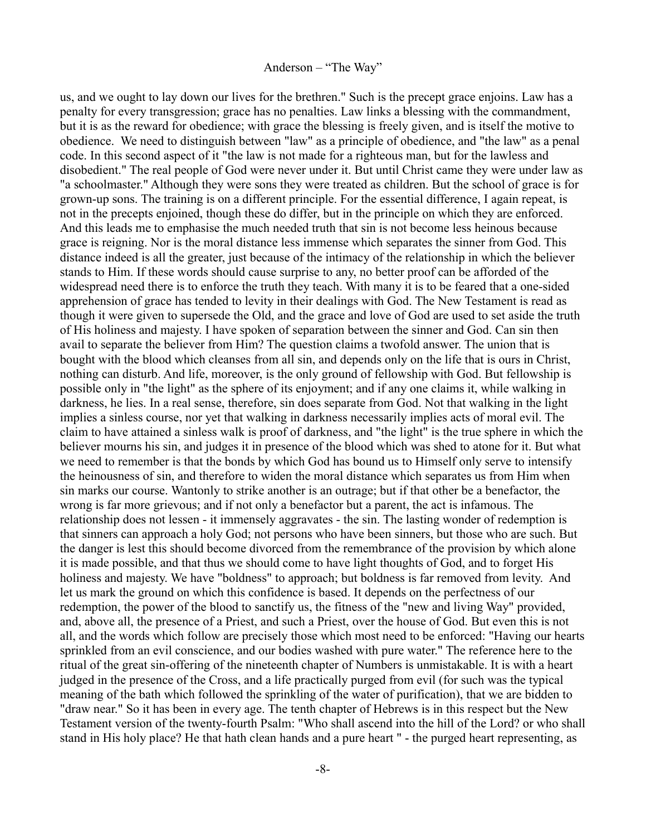us, and we ought to lay down our lives for the brethren." Such is the precept grace enjoins. Law has a penalty for every transgression; grace has no penalties. Law links a blessing with the commandment, but it is as the reward for obedience; with grace the blessing is freely given, and is itself the motive to obedience. We need to distinguish between "law" as a principle of obedience, and "the law" as a penal code. In this second aspect of it "the law is not made for a righteous man, but for the lawless and disobedient." The real people of God were never under it. But until Christ came they were under law as "a schoolmaster." Although they were sons they were treated as children. But the school of grace is for grown-up sons. The training is on a different principle. For the essential difference, I again repeat, is not in the precepts enjoined, though these do differ, but in the principle on which they are enforced. And this leads me to emphasise the much needed truth that sin is not become less heinous because grace is reigning. Nor is the moral distance less immense which separates the sinner from God. This distance indeed is all the greater, just because of the intimacy of the relationship in which the believer stands to Him. If these words should cause surprise to any, no better proof can be afforded of the widespread need there is to enforce the truth they teach. With many it is to be feared that a one-sided apprehension of grace has tended to levity in their dealings with God. The New Testament is read as though it were given to supersede the Old, and the grace and love of God are used to set aside the truth of His holiness and majesty. I have spoken of separation between the sinner and God. Can sin then avail to separate the believer from Him? The question claims a twofold answer. The union that is bought with the blood which cleanses from all sin, and depends only on the life that is ours in Christ, nothing can disturb. And life, moreover, is the only ground of fellowship with God. But fellowship is possible only in "the light" as the sphere of its enjoyment; and if any one claims it, while walking in darkness, he lies. In a real sense, therefore, sin does separate from God. Not that walking in the light implies a sinless course, nor yet that walking in darkness necessarily implies acts of moral evil. The claim to have attained a sinless walk is proof of darkness, and "the light" is the true sphere in which the believer mourns his sin, and judges it in presence of the blood which was shed to atone for it. But what we need to remember is that the bonds by which God has bound us to Himself only serve to intensify the heinousness of sin, and therefore to widen the moral distance which separates us from Him when sin marks our course. Wantonly to strike another is an outrage; but if that other be a benefactor, the wrong is far more grievous; and if not only a benefactor but a parent, the act is infamous. The relationship does not lessen - it immensely aggravates - the sin. The lasting wonder of redemption is that sinners can approach a holy God; not persons who have been sinners, but those who are such. But the danger is lest this should become divorced from the remembrance of the provision by which alone it is made possible, and that thus we should come to have light thoughts of God, and to forget His holiness and majesty. We have "boldness" to approach; but boldness is far removed from levity. And let us mark the ground on which this confidence is based. It depends on the perfectness of our redemption, the power of the blood to sanctify us, the fitness of the "new and living Way" provided, and, above all, the presence of a Priest, and such a Priest, over the house of God. But even this is not all, and the words which follow are precisely those which most need to be enforced: "Having our hearts sprinkled from an evil conscience, and our bodies washed with pure water." The reference here to the ritual of the great sin-offering of the nineteenth chapter of Numbers is unmistakable. It is with a heart judged in the presence of the Cross, and a life practically purged from evil (for such was the typical meaning of the bath which followed the sprinkling of the water of purification), that we are bidden to "draw near." So it has been in every age. The tenth chapter of Hebrews is in this respect but the New Testament version of the twenty-fourth Psalm: "Who shall ascend into the hill of the Lord? or who shall stand in His holy place? He that hath clean hands and a pure heart " - the purged heart representing, as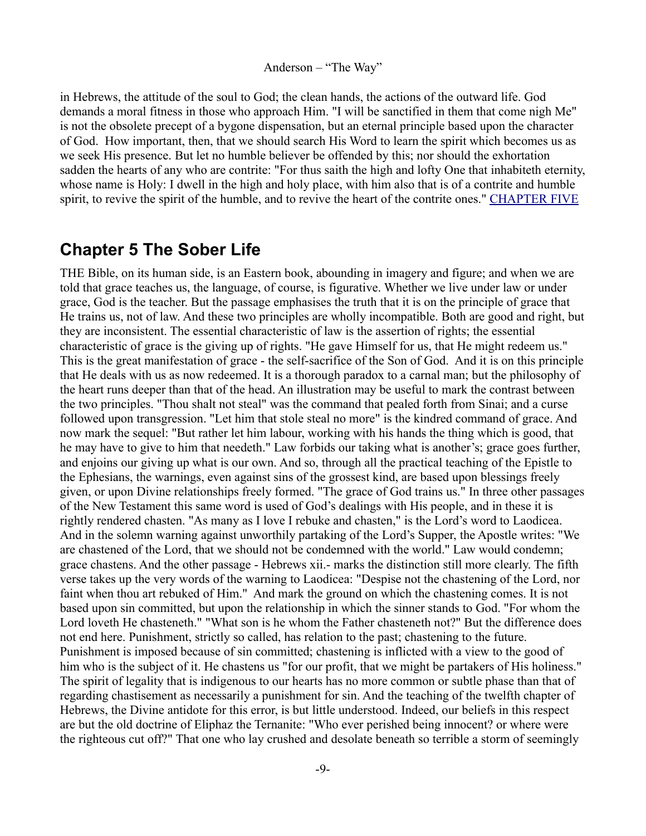in Hebrews, the attitude of the soul to God; the clean hands, the actions of the outward life. God demands a moral fitness in those who approach Him. "I will be sanctified in them that come nigh Me" is not the obsolete precept of a bygone dispensation, but an eternal principle based upon the character of God. How important, then, that we should search His Word to learn the spirit which becomes us as we seek His presence. But let no humble believer be offended by this; nor should the exhortation sadden the hearts of any who are contrite: "For thus saith the high and lofty One that inhabiteth eternity, whose name is Holy: I dwell in the high and holy place, with him also that is of a contrite and humble spirit, to revive the spirit of the humble, and to revive the heart of the contrite ones." [CHAPTER FIVE](http://www.newble.co.uk/anderson/way/way5.html)

## <span id="page-8-0"></span>**Chapter 5 The Sober Life**

THE Bible, on its human side, is an Eastern book, abounding in imagery and figure; and when we are told that grace teaches us, the language, of course, is figurative. Whether we live under law or under grace, God is the teacher. But the passage emphasises the truth that it is on the principle of grace that He trains us, not of law. And these two principles are wholly incompatible. Both are good and right, but they are inconsistent. The essential characteristic of law is the assertion of rights; the essential characteristic of grace is the giving up of rights. "He gave Himself for us, that He might redeem us." This is the great manifestation of grace - the self-sacrifice of the Son of God. And it is on this principle that He deals with us as now redeemed. It is a thorough paradox to a carnal man; but the philosophy of the heart runs deeper than that of the head. An illustration may be useful to mark the contrast between the two principles. "Thou shalt not steal" was the command that pealed forth from Sinai; and a curse followed upon transgression. "Let him that stole steal no more" is the kindred command of grace. And now mark the sequel: "But rather let him labour, working with his hands the thing which is good, that he may have to give to him that needeth." Law forbids our taking what is another's; grace goes further, and enjoins our giving up what is our own. And so, through all the practical teaching of the Epistle to the Ephesians, the warnings, even against sins of the grossest kind, are based upon blessings freely given, or upon Divine relationships freely formed. "The grace of God trains us." In three other passages of the New Testament this same word is used of God's dealings with His people, and in these it is rightly rendered chasten. "As many as I love I rebuke and chasten," is the Lord's word to Laodicea. And in the solemn warning against unworthily partaking of the Lord's Supper, the Apostle writes: "We are chastened of the Lord, that we should not be condemned with the world." Law would condemn; grace chastens. And the other passage - Hebrews xii.- marks the distinction still more clearly. The fifth verse takes up the very words of the warning to Laodicea: "Despise not the chastening of the Lord, nor faint when thou art rebuked of Him." And mark the ground on which the chastening comes. It is not based upon sin committed, but upon the relationship in which the sinner stands to God. "For whom the Lord loveth He chasteneth." "What son is he whom the Father chasteneth not?" But the difference does not end here. Punishment, strictly so called, has relation to the past; chastening to the future. Punishment is imposed because of sin committed; chastening is inflicted with a view to the good of him who is the subject of it. He chastens us "for our profit, that we might be partakers of His holiness." The spirit of legality that is indigenous to our hearts has no more common or subtle phase than that of regarding chastisement as necessarily a punishment for sin. And the teaching of the twelfth chapter of Hebrews, the Divine antidote for this error, is but little understood. Indeed, our beliefs in this respect are but the old doctrine of Eliphaz the Ternanite: "Who ever perished being innocent? or where were the righteous cut off?" That one who lay crushed and desolate beneath so terrible a storm of seemingly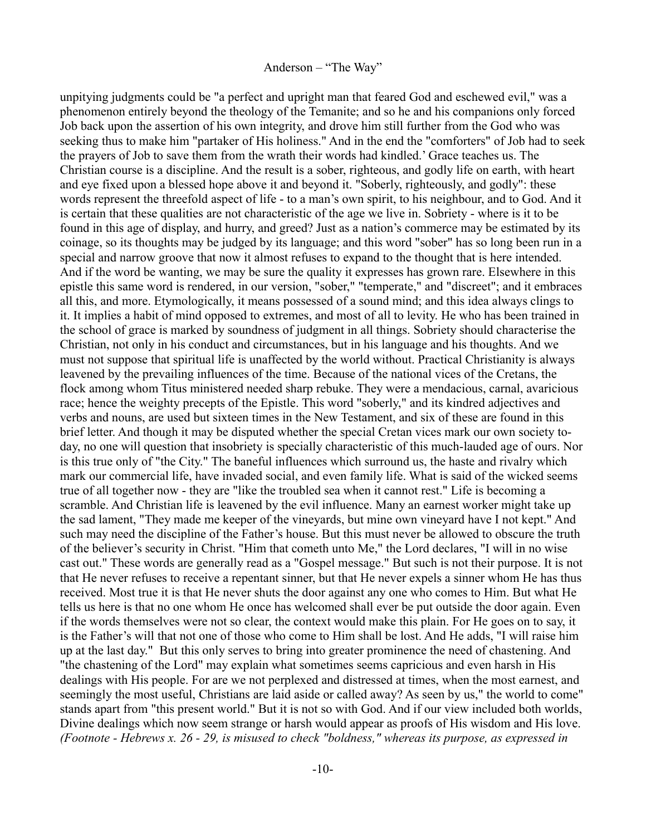unpitying judgments could be "a perfect and upright man that feared God and eschewed evil," was a phenomenon entirely beyond the theology of the Temanite; and so he and his companions only forced Job back upon the assertion of his own integrity, and drove him still further from the God who was seeking thus to make him "partaker of His holiness." And in the end the "comforters" of Job had to seek the prayers of Job to save them from the wrath their words had kindled.' Grace teaches us. The Christian course is a discipline. And the result is a sober, righteous, and godly life on earth, with heart and eye fixed upon a blessed hope above it and beyond it. "Soberly, righteously, and godly": these words represent the threefold aspect of life - to a man's own spirit, to his neighbour, and to God. And it is certain that these qualities are not characteristic of the age we live in. Sobriety - where is it to be found in this age of display, and hurry, and greed? Just as a nation's commerce may be estimated by its coinage, so its thoughts may be judged by its language; and this word "sober" has so long been run in a special and narrow groove that now it almost refuses to expand to the thought that is here intended. And if the word be wanting, we may be sure the quality it expresses has grown rare. Elsewhere in this epistle this same word is rendered, in our version, "sober," "temperate," and "discreet"; and it embraces all this, and more. Etymologically, it means possessed of a sound mind; and this idea always clings to it. It implies a habit of mind opposed to extremes, and most of all to levity. He who has been trained in the school of grace is marked by soundness of judgment in all things. Sobriety should characterise the Christian, not only in his conduct and circumstances, but in his language and his thoughts. And we must not suppose that spiritual life is unaffected by the world without. Practical Christianity is always leavened by the prevailing influences of the time. Because of the national vices of the Cretans, the flock among whom Titus ministered needed sharp rebuke. They were a mendacious, carnal, avaricious race; hence the weighty precepts of the Epistle. This word "soberly," and its kindred adjectives and verbs and nouns, are used but sixteen times in the New Testament, and six of these are found in this brief letter. And though it may be disputed whether the special Cretan vices mark our own society today, no one will question that insobriety is specially characteristic of this much-lauded age of ours. Nor is this true only of "the City." The baneful influences which surround us, the haste and rivalry which mark our commercial life, have invaded social, and even family life. What is said of the wicked seems true of all together now - they are "like the troubled sea when it cannot rest." Life is becoming a scramble. And Christian life is leavened by the evil influence. Many an earnest worker might take up the sad lament, "They made me keeper of the vineyards, but mine own vineyard have I not kept." And such may need the discipline of the Father's house. But this must never be allowed to obscure the truth of the believer's security in Christ. "Him that cometh unto Me," the Lord declares, "I will in no wise cast out." These words are generally read as a "Gospel message." But such is not their purpose. It is not that He never refuses to receive a repentant sinner, but that He never expels a sinner whom He has thus received. Most true it is that He never shuts the door against any one who comes to Him. But what He tells us here is that no one whom He once has welcomed shall ever be put outside the door again. Even if the words themselves were not so clear, the context would make this plain. For He goes on to say, it is the Father's will that not one of those who come to Him shall be lost. And He adds, "I will raise him up at the last day." But this only serves to bring into greater prominence the need of chastening. And "the chastening of the Lord" may explain what sometimes seems capricious and even harsh in His dealings with His people. For are we not perplexed and distressed at times, when the most earnest, and seemingly the most useful, Christians are laid aside or called away? As seen by us," the world to come" stands apart from "this present world." But it is not so with God. And if our view included both worlds, Divine dealings which now seem strange or harsh would appear as proofs of His wisdom and His love. *(Footnote - Hebrews x. 26 - 29, is misused to check "boldness," whereas its purpose, as expressed in*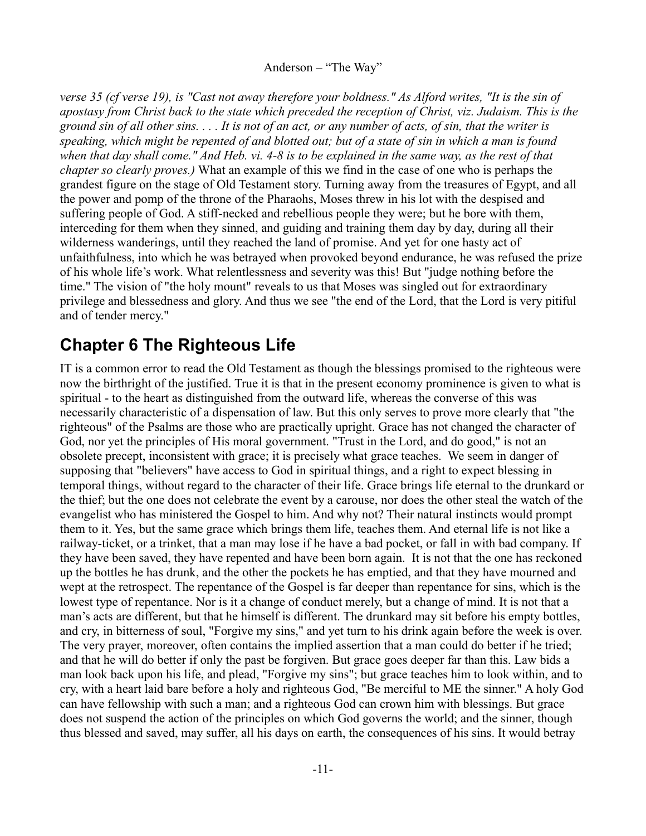*verse 35 (cf verse 19), is "Cast not away therefore your boldness." As Alford writes, "It is the sin of apostasy from Christ back to the state which preceded the reception of Christ, viz. Judaism. This is the ground sin of all other sins. . . . It is not of an act, or any number of acts, of sin, that the writer is speaking, which might be repented of and blotted out; but of a state of sin in which a man is found when that day shall come." And Heb. vi. 4-8 is to be explained in the same way, as the rest of that chapter so clearly proves.)* What an example of this we find in the case of one who is perhaps the grandest figure on the stage of Old Testament story. Turning away from the treasures of Egypt, and all the power and pomp of the throne of the Pharaohs, Moses threw in his lot with the despised and suffering people of God. A stiff-necked and rebellious people they were; but he bore with them, interceding for them when they sinned, and guiding and training them day by day, during all their wilderness wanderings, until they reached the land of promise. And yet for one hasty act of unfaithfulness, into which he was betrayed when provoked beyond endurance, he was refused the prize of his whole life's work. What relentlessness and severity was this! But "judge nothing before the time." The vision of "the holy mount" reveals to us that Moses was singled out for extraordinary privilege and blessedness and glory. And thus we see "the end of the Lord, that the Lord is very pitiful and of tender mercy."

# <span id="page-10-0"></span>**Chapter 6 The Righteous Life**

IT is a common error to read the Old Testament as though the blessings promised to the righteous were now the birthright of the justified. True it is that in the present economy prominence is given to what is spiritual - to the heart as distinguished from the outward life, whereas the converse of this was necessarily characteristic of a dispensation of law. But this only serves to prove more clearly that "the righteous" of the Psalms are those who are practically upright. Grace has not changed the character of God, nor yet the principles of His moral government. "Trust in the Lord, and do good," is not an obsolete precept, inconsistent with grace; it is precisely what grace teaches. We seem in danger of supposing that "believers" have access to God in spiritual things, and a right to expect blessing in temporal things, without regard to the character of their life. Grace brings life eternal to the drunkard or the thief; but the one does not celebrate the event by a carouse, nor does the other steal the watch of the evangelist who has ministered the Gospel to him. And why not? Their natural instincts would prompt them to it. Yes, but the same grace which brings them life, teaches them. And eternal life is not like a railway-ticket, or a trinket, that a man may lose if he have a bad pocket, or fall in with bad company. If they have been saved, they have repented and have been born again. It is not that the one has reckoned up the bottles he has drunk, and the other the pockets he has emptied, and that they have mourned and wept at the retrospect. The repentance of the Gospel is far deeper than repentance for sins, which is the lowest type of repentance. Nor is it a change of conduct merely, but a change of mind. It is not that a man's acts are different, but that he himself is different. The drunkard may sit before his empty bottles, and cry, in bitterness of soul, "Forgive my sins," and yet turn to his drink again before the week is over. The very prayer, moreover, often contains the implied assertion that a man could do better if he tried; and that he will do better if only the past be forgiven. But grace goes deeper far than this. Law bids a man look back upon his life, and plead, "Forgive my sins"; but grace teaches him to look within, and to cry, with a heart laid bare before a holy and righteous God, "Be merciful to ME the sinner." A holy God can have fellowship with such a man; and a righteous God can crown him with blessings. But grace does not suspend the action of the principles on which God governs the world; and the sinner, though thus blessed and saved, may suffer, all his days on earth, the consequences of his sins. It would betray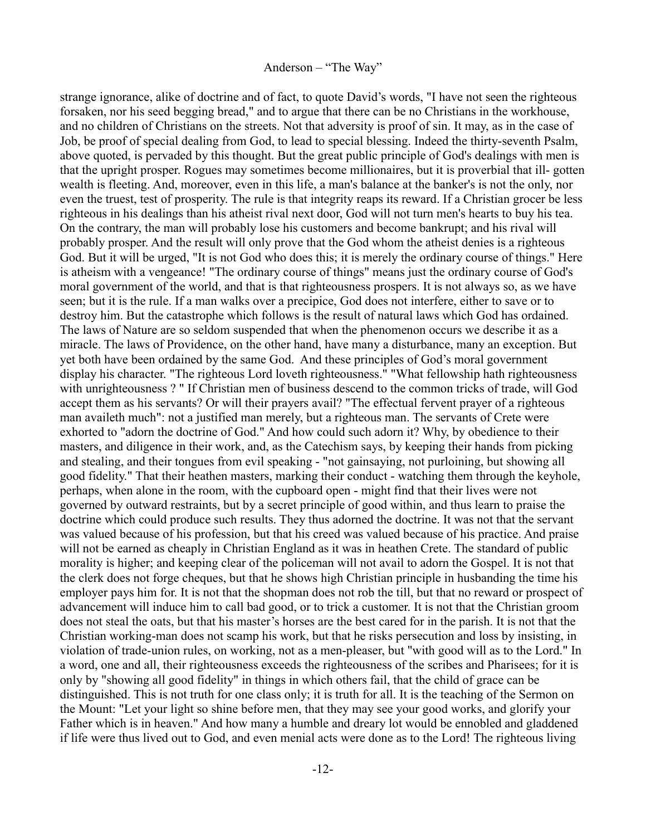strange ignorance, alike of doctrine and of fact, to quote David's words, "I have not seen the righteous forsaken, nor his seed begging bread," and to argue that there can be no Christians in the workhouse, and no children of Christians on the streets. Not that adversity is proof of sin. It may, as in the case of Job, be proof of special dealing from God, to lead to special blessing. Indeed the thirty-seventh Psalm, above quoted, is pervaded by this thought. But the great public principle of God's dealings with men is that the upright prosper. Rogues may sometimes become millionaires, but it is proverbial that ill- gotten wealth is fleeting. And, moreover, even in this life, a man's balance at the banker's is not the only, nor even the truest, test of prosperity. The rule is that integrity reaps its reward. If a Christian grocer be less righteous in his dealings than his atheist rival next door, God will not turn men's hearts to buy his tea. On the contrary, the man will probably lose his customers and become bankrupt; and his rival will probably prosper. And the result will only prove that the God whom the atheist denies is a righteous God. But it will be urged, "It is not God who does this; it is merely the ordinary course of things." Here is atheism with a vengeance! "The ordinary course of things" means just the ordinary course of God's moral government of the world, and that is that righteousness prospers. It is not always so, as we have seen; but it is the rule. If a man walks over a precipice, God does not interfere, either to save or to destroy him. But the catastrophe which follows is the result of natural laws which God has ordained. The laws of Nature are so seldom suspended that when the phenomenon occurs we describe it as a miracle. The laws of Providence, on the other hand, have many a disturbance, many an exception. But yet both have been ordained by the same God. And these principles of God's moral government display his character. "The righteous Lord loveth righteousness." "What fellowship hath righteousness with unrighteousness ? " If Christian men of business descend to the common tricks of trade, will God accept them as his servants? Or will their prayers avail? "The effectual fervent prayer of a righteous man availeth much": not a justified man merely, but a righteous man. The servants of Crete were exhorted to "adorn the doctrine of God." And how could such adorn it? Why, by obedience to their masters, and diligence in their work, and, as the Catechism says, by keeping their hands from picking and stealing, and their tongues from evil speaking - "not gainsaying, not purloining, but showing all good fidelity." That their heathen masters, marking their conduct - watching them through the keyhole, perhaps, when alone in the room, with the cupboard open - might find that their lives were not governed by outward restraints, but by a secret principle of good within, and thus learn to praise the doctrine which could produce such results. They thus adorned the doctrine. It was not that the servant was valued because of his profession, but that his creed was valued because of his practice. And praise will not be earned as cheaply in Christian England as it was in heathen Crete. The standard of public morality is higher; and keeping clear of the policeman will not avail to adorn the Gospel. It is not that the clerk does not forge cheques, but that he shows high Christian principle in husbanding the time his employer pays him for. It is not that the shopman does not rob the till, but that no reward or prospect of advancement will induce him to call bad good, or to trick a customer. It is not that the Christian groom does not steal the oats, but that his master's horses are the best cared for in the parish. It is not that the Christian working-man does not scamp his work, but that he risks persecution and loss by insisting, in violation of trade-union rules, on working, not as a men-pleaser, but "with good will as to the Lord." In a word, one and all, their righteousness exceeds the righteousness of the scribes and Pharisees; for it is only by "showing all good fidelity" in things in which others fail, that the child of grace can be distinguished. This is not truth for one class only; it is truth for all. It is the teaching of the Sermon on the Mount: "Let your light so shine before men, that they may see your good works, and glorify your Father which is in heaven." And how many a humble and dreary lot would be ennobled and gladdened if life were thus lived out to God, and even menial acts were done as to the Lord! The righteous living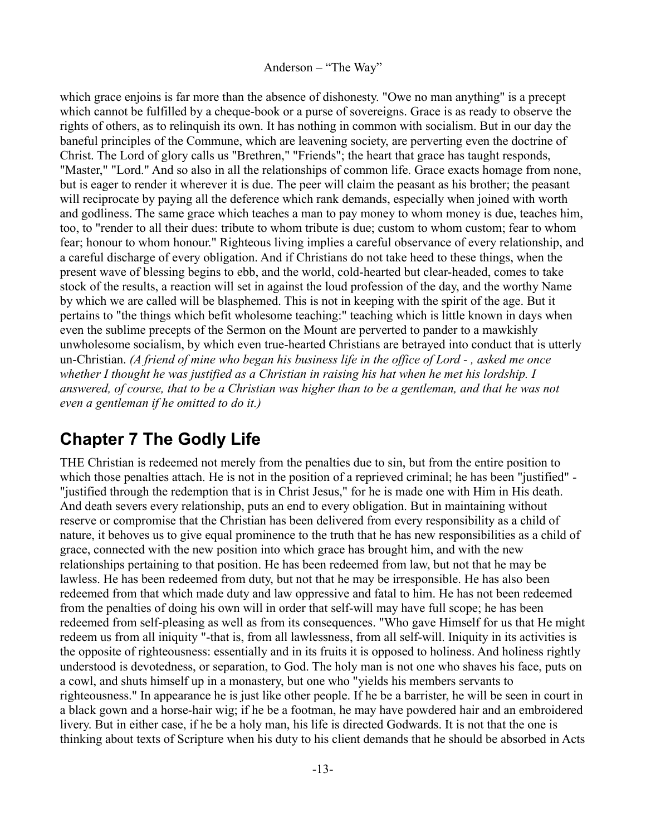which grace enjoins is far more than the absence of dishonesty. "Owe no man anything" is a precept which cannot be fulfilled by a cheque-book or a purse of sovereigns. Grace is as ready to observe the rights of others, as to relinquish its own. It has nothing in common with socialism. But in our day the baneful principles of the Commune, which are leavening society, are perverting even the doctrine of Christ. The Lord of glory calls us "Brethren," "Friends"; the heart that grace has taught responds, "Master," "Lord." And so also in all the relationships of common life. Grace exacts homage from none, but is eager to render it wherever it is due. The peer will claim the peasant as his brother; the peasant will reciprocate by paying all the deference which rank demands, especially when joined with worth and godliness. The same grace which teaches a man to pay money to whom money is due, teaches him, too, to "render to all their dues: tribute to whom tribute is due; custom to whom custom; fear to whom fear; honour to whom honour." Righteous living implies a careful observance of every relationship, and a careful discharge of every obligation. And if Christians do not take heed to these things, when the present wave of blessing begins to ebb, and the world, cold-hearted but clear-headed, comes to take stock of the results, a reaction will set in against the loud profession of the day, and the worthy Name by which we are called will be blasphemed. This is not in keeping with the spirit of the age. But it pertains to "the things which befit wholesome teaching:" teaching which is little known in days when even the sublime precepts of the Sermon on the Mount are perverted to pander to a mawkishly unwholesome socialism, by which even true-hearted Christians are betrayed into conduct that is utterly un-Christian. *(A friend of mine who began his business life in the office of Lord - , asked me once whether I thought he was justified as a Christian in raising his hat when he met his lordship. I answered, of course, that to be a Christian was higher than to be a gentleman, and that he was not even a gentleman if he omitted to do it.)*

## <span id="page-12-0"></span>**Chapter 7 The Godly Life**

THE Christian is redeemed not merely from the penalties due to sin, but from the entire position to which those penalties attach. He is not in the position of a reprieved criminal; he has been "justified" -"justified through the redemption that is in Christ Jesus," for he is made one with Him in His death. And death severs every relationship, puts an end to every obligation. But in maintaining without reserve or compromise that the Christian has been delivered from every responsibility as a child of nature, it behoves us to give equal prominence to the truth that he has new responsibilities as a child of grace, connected with the new position into which grace has brought him, and with the new relationships pertaining to that position. He has been redeemed from law, but not that he may be lawless. He has been redeemed from duty, but not that he may be irresponsible. He has also been redeemed from that which made duty and law oppressive and fatal to him. He has not been redeemed from the penalties of doing his own will in order that self-will may have full scope; he has been redeemed from self-pleasing as well as from its consequences. "Who gave Himself for us that He might redeem us from all iniquity "-that is, from all lawlessness, from all self-will. Iniquity in its activities is the opposite of righteousness: essentially and in its fruits it is opposed to holiness. And holiness rightly understood is devotedness, or separation, to God. The holy man is not one who shaves his face, puts on a cowl, and shuts himself up in a monastery, but one who "yields his members servants to righteousness." In appearance he is just like other people. If he be a barrister, he will be seen in court in a black gown and a horse-hair wig; if he be a footman, he may have powdered hair and an embroidered livery. But in either case, if he be a holy man, his life is directed Godwards. It is not that the one is thinking about texts of Scripture when his duty to his client demands that he should be absorbed in Acts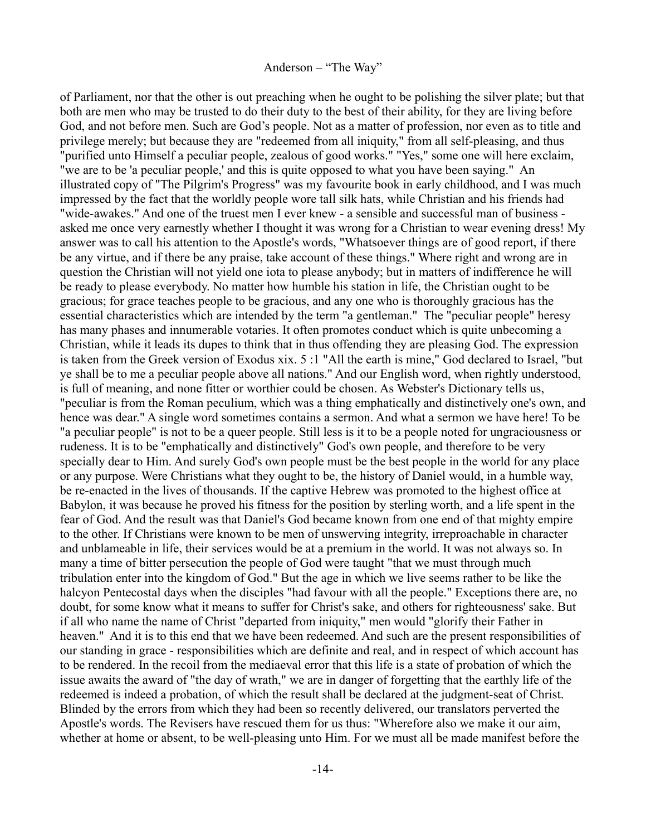of Parliament, nor that the other is out preaching when he ought to be polishing the silver plate; but that both are men who may be trusted to do their duty to the best of their ability, for they are living before God, and not before men. Such are God's people. Not as a matter of profession, nor even as to title and privilege merely; but because they are "redeemed from all iniquity," from all self-pleasing, and thus "purified unto Himself a peculiar people, zealous of good works." "Yes," some one will here exclaim, "we are to be 'a peculiar people,' and this is quite opposed to what you have been saying." An illustrated copy of "The Pilgrim's Progress" was my favourite book in early childhood, and I was much impressed by the fact that the worldly people wore tall silk hats, while Christian and his friends had "wide-awakes." And one of the truest men I ever knew - a sensible and successful man of business asked me once very earnestly whether I thought it was wrong for a Christian to wear evening dress! My answer was to call his attention to the Apostle's words, "Whatsoever things are of good report, if there be any virtue, and if there be any praise, take account of these things." Where right and wrong are in question the Christian will not yield one iota to please anybody; but in matters of indifference he will be ready to please everybody. No matter how humble his station in life, the Christian ought to be gracious; for grace teaches people to be gracious, and any one who is thoroughly gracious has the essential characteristics which are intended by the term "a gentleman." The "peculiar people" heresy has many phases and innumerable votaries. It often promotes conduct which is quite unbecoming a Christian, while it leads its dupes to think that in thus offending they are pleasing God. The expression is taken from the Greek version of Exodus xix. 5 :1 "All the earth is mine," God declared to Israel, "but ye shall be to me a peculiar people above all nations." And our English word, when rightly understood, is full of meaning, and none fitter or worthier could be chosen. As Webster's Dictionary tells us, "peculiar is from the Roman peculium, which was a thing emphatically and distinctively one's own, and hence was dear." A single word sometimes contains a sermon. And what a sermon we have here! To be "a peculiar people" is not to be a queer people. Still less is it to be a people noted for ungraciousness or rudeness. It is to be "emphatically and distinctively" God's own people, and therefore to be very specially dear to Him. And surely God's own people must be the best people in the world for any place or any purpose. Were Christians what they ought to be, the history of Daniel would, in a humble way, be re-enacted in the lives of thousands. If the captive Hebrew was promoted to the highest office at Babylon, it was because he proved his fitness for the position by sterling worth, and a life spent in the fear of God. And the result was that Daniel's God became known from one end of that mighty empire to the other. If Christians were known to be men of unswerving integrity, irreproachable in character and unblameable in life, their services would be at a premium in the world. It was not always so. In many a time of bitter persecution the people of God were taught "that we must through much tribulation enter into the kingdom of God." But the age in which we live seems rather to be like the halcyon Pentecostal days when the disciples "had favour with all the people." Exceptions there are, no doubt, for some know what it means to suffer for Christ's sake, and others for righteousness' sake. But if all who name the name of Christ "departed from iniquity," men would "glorify their Father in heaven." And it is to this end that we have been redeemed. And such are the present responsibilities of our standing in grace - responsibilities which are definite and real, and in respect of which account has to be rendered. In the recoil from the mediaeval error that this life is a state of probation of which the issue awaits the award of "the day of wrath," we are in danger of forgetting that the earthly life of the redeemed is indeed a probation, of which the result shall be declared at the judgment-seat of Christ. Blinded by the errors from which they had been so recently delivered, our translators perverted the Apostle's words. The Revisers have rescued them for us thus: "Wherefore also we make it our aim, whether at home or absent, to be well-pleasing unto Him. For we must all be made manifest before the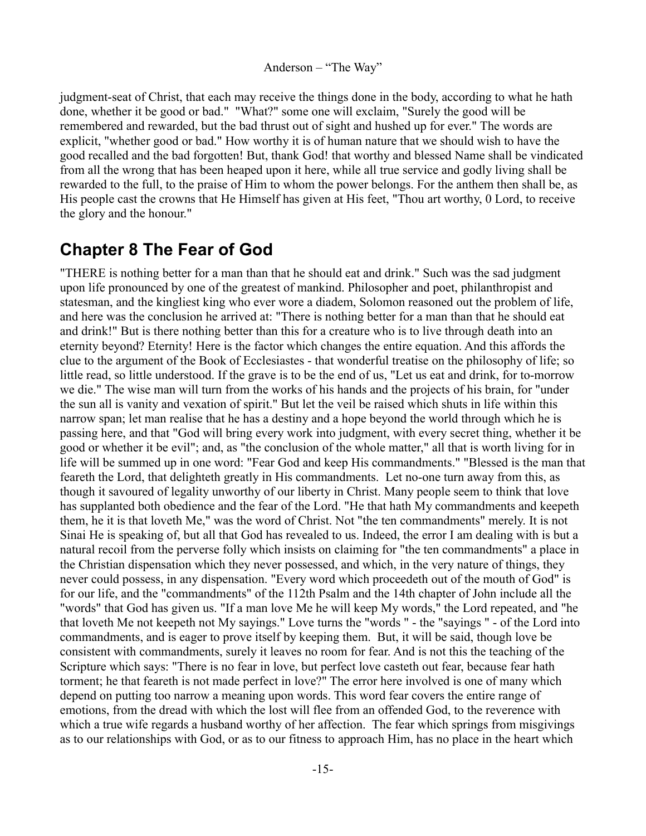judgment-seat of Christ, that each may receive the things done in the body, according to what he hath done, whether it be good or bad." "What?" some one will exclaim, "Surely the good will be remembered and rewarded, but the bad thrust out of sight and hushed up for ever." The words are explicit, "whether good or bad." How worthy it is of human nature that we should wish to have the good recalled and the bad forgotten! But, thank God! that worthy and blessed Name shall be vindicated from all the wrong that has been heaped upon it here, while all true service and godly living shall be rewarded to the full, to the praise of Him to whom the power belongs. For the anthem then shall be, as His people cast the crowns that He Himself has given at His feet, "Thou art worthy, 0 Lord, to receive the glory and the honour."

## <span id="page-14-0"></span>**Chapter 8 The Fear of God**

"THERE is nothing better for a man than that he should eat and drink." Such was the sad judgment upon life pronounced by one of the greatest of mankind. Philosopher and poet, philanthropist and statesman, and the kingliest king who ever wore a diadem, Solomon reasoned out the problem of life, and here was the conclusion he arrived at: "There is nothing better for a man than that he should eat and drink!" But is there nothing better than this for a creature who is to live through death into an eternity beyond? Eternity! Here is the factor which changes the entire equation. And this affords the clue to the argument of the Book of Ecclesiastes - that wonderful treatise on the philosophy of life; so little read, so little understood. If the grave is to be the end of us, "Let us eat and drink, for to-morrow we die." The wise man will turn from the works of his hands and the projects of his brain, for "under the sun all is vanity and vexation of spirit." But let the veil be raised which shuts in life within this narrow span; let man realise that he has a destiny and a hope beyond the world through which he is passing here, and that "God will bring every work into judgment, with every secret thing, whether it be good or whether it be evil"; and, as "the conclusion of the whole matter," all that is worth living for in life will be summed up in one word: "Fear God and keep His commandments." "Blessed is the man that feareth the Lord, that delighteth greatly in His commandments. Let no-one turn away from this, as though it savoured of legality unworthy of our liberty in Christ. Many people seem to think that love has supplanted both obedience and the fear of the Lord. "He that hath My commandments and keepeth them, he it is that loveth Me," was the word of Christ. Not "the ten commandments" merely. It is not Sinai He is speaking of, but all that God has revealed to us. Indeed, the error I am dealing with is but a natural recoil from the perverse folly which insists on claiming for "the ten commandments" a place in the Christian dispensation which they never possessed, and which, in the very nature of things, they never could possess, in any dispensation. "Every word which proceedeth out of the mouth of God" is for our life, and the "commandments" of the 112th Psalm and the 14th chapter of John include all the "words" that God has given us. "If a man love Me he will keep My words," the Lord repeated, and "he that loveth Me not keepeth not My sayings." Love turns the "words " - the "sayings " - of the Lord into commandments, and is eager to prove itself by keeping them. But, it will be said, though love be consistent with commandments, surely it leaves no room for fear. And is not this the teaching of the Scripture which says: "There is no fear in love, but perfect love casteth out fear, because fear hath torment; he that feareth is not made perfect in love?" The error here involved is one of many which depend on putting too narrow a meaning upon words. This word fear covers the entire range of emotions, from the dread with which the lost will flee from an offended God, to the reverence with which a true wife regards a husband worthy of her affection. The fear which springs from misgivings as to our relationships with God, or as to our fitness to approach Him, has no place in the heart which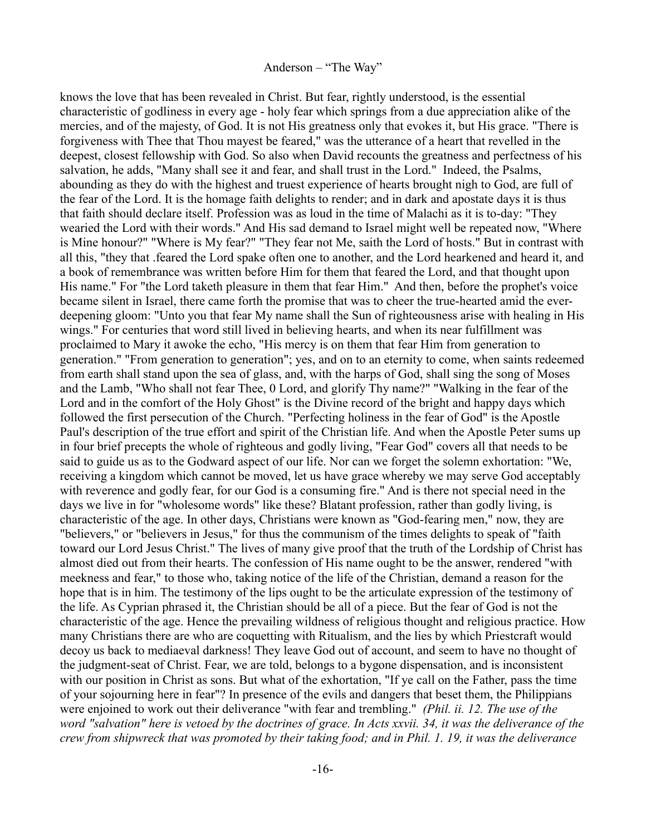knows the love that has been revealed in Christ. But fear, rightly understood, is the essential characteristic of godliness in every age - holy fear which springs from a due appreciation alike of the mercies, and of the majesty, of God. It is not His greatness only that evokes it, but His grace. "There is forgiveness with Thee that Thou mayest be feared," was the utterance of a heart that revelled in the deepest, closest fellowship with God. So also when David recounts the greatness and perfectness of his salvation, he adds, "Many shall see it and fear, and shall trust in the Lord." Indeed, the Psalms, abounding as they do with the highest and truest experience of hearts brought nigh to God, are full of the fear of the Lord. It is the homage faith delights to render; and in dark and apostate days it is thus that faith should declare itself. Profession was as loud in the time of Malachi as it is to-day: "They wearied the Lord with their words." And His sad demand to Israel might well be repeated now, "Where is Mine honour?" "Where is My fear?" "They fear not Me, saith the Lord of hosts." But in contrast with all this, "they that .feared the Lord spake often one to another, and the Lord hearkened and heard it, and a book of remembrance was written before Him for them that feared the Lord, and that thought upon His name." For "the Lord taketh pleasure in them that fear Him." And then, before the prophet's voice became silent in Israel, there came forth the promise that was to cheer the true-hearted amid the everdeepening gloom: "Unto you that fear My name shall the Sun of righteousness arise with healing in His wings." For centuries that word still lived in believing hearts, and when its near fulfillment was proclaimed to Mary it awoke the echo, "His mercy is on them that fear Him from generation to generation." "From generation to generation"; yes, and on to an eternity to come, when saints redeemed from earth shall stand upon the sea of glass, and, with the harps of God, shall sing the song of Moses and the Lamb, "Who shall not fear Thee, 0 Lord, and glorify Thy name?" "Walking in the fear of the Lord and in the comfort of the Holy Ghost" is the Divine record of the bright and happy days which followed the first persecution of the Church. "Perfecting holiness in the fear of God" is the Apostle Paul's description of the true effort and spirit of the Christian life. And when the Apostle Peter sums up in four brief precepts the whole of righteous and godly living, "Fear God" covers all that needs to be said to guide us as to the Godward aspect of our life. Nor can we forget the solemn exhortation: "We, receiving a kingdom which cannot be moved, let us have grace whereby we may serve God acceptably with reverence and godly fear, for our God is a consuming fire." And is there not special need in the days we live in for "wholesome words" like these? Blatant profession, rather than godly living, is characteristic of the age. In other days, Christians were known as "God-fearing men," now, they are "believers," or "believers in Jesus," for thus the communism of the times delights to speak of "faith toward our Lord Jesus Christ." The lives of many give proof that the truth of the Lordship of Christ has almost died out from their hearts. The confession of His name ought to be the answer, rendered "with meekness and fear," to those who, taking notice of the life of the Christian, demand a reason for the hope that is in him. The testimony of the lips ought to be the articulate expression of the testimony of the life. As Cyprian phrased it, the Christian should be all of a piece. But the fear of God is not the characteristic of the age. Hence the prevailing wildness of religious thought and religious practice. How many Christians there are who are coquetting with Ritualism, and the lies by which Priestcraft would decoy us back to mediaeval darkness! They leave God out of account, and seem to have no thought of the judgment-seat of Christ. Fear, we are told, belongs to a bygone dispensation, and is inconsistent with our position in Christ as sons. But what of the exhortation, "If ye call on the Father, pass the time of your sojourning here in fear"? In presence of the evils and dangers that beset them, the Philippians were enjoined to work out their deliverance "with fear and trembling." *(Phil. ii. 12. The use of the word "salvation" here is vetoed by the doctrines of grace. In Acts xxvii. 34, it was the deliverance of the crew from shipwreck that was promoted by their taking food; and in Phil. 1. 19, it was the deliverance*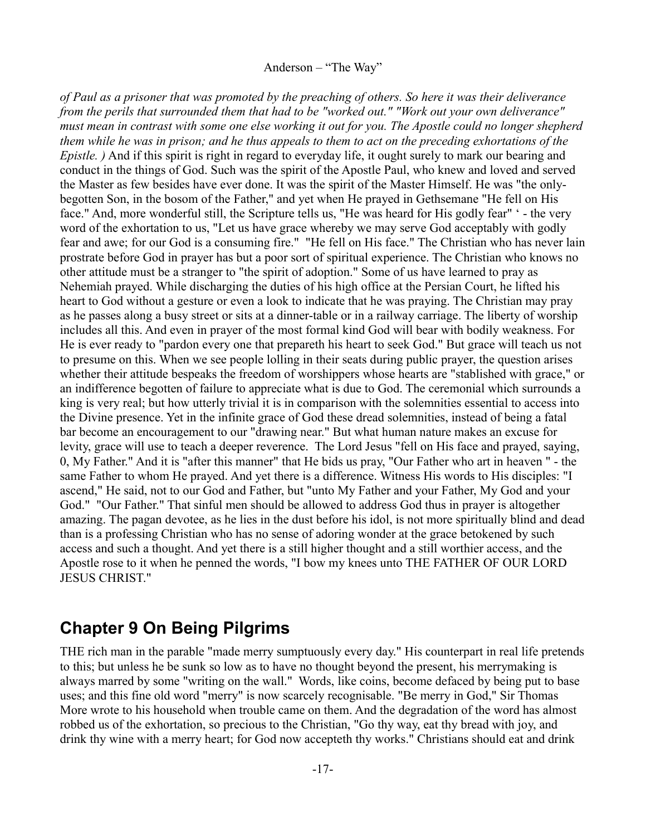*of Paul as a prisoner that was promoted by the preaching of others. So here it was their deliverance from the perils that surrounded them that had to be "worked out." "Work out your own deliverance" must mean in contrast with some one else working it out for you. The Apostle could no longer shepherd them while he was in prison; and he thus appeals to them to act on the preceding exhortations of the Epistle.* ) And if this spirit is right in regard to everyday life, it ought surely to mark our bearing and conduct in the things of God. Such was the spirit of the Apostle Paul, who knew and loved and served the Master as few besides have ever done. It was the spirit of the Master Himself. He was "the onlybegotten Son, in the bosom of the Father," and yet when He prayed in Gethsemane "He fell on His face." And, more wonderful still, the Scripture tells us, "He was heard for His godly fear" ' - the very word of the exhortation to us, "Let us have grace whereby we may serve God acceptably with godly fear and awe; for our God is a consuming fire." "He fell on His face." The Christian who has never lain prostrate before God in prayer has but a poor sort of spiritual experience. The Christian who knows no other attitude must be a stranger to "the spirit of adoption." Some of us have learned to pray as Nehemiah prayed. While discharging the duties of his high office at the Persian Court, he lifted his heart to God without a gesture or even a look to indicate that he was praying. The Christian may pray as he passes along a busy street or sits at a dinner-table or in a railway carriage. The liberty of worship includes all this. And even in prayer of the most formal kind God will bear with bodily weakness. For He is ever ready to "pardon every one that prepareth his heart to seek God." But grace will teach us not to presume on this. When we see people lolling in their seats during public prayer, the question arises whether their attitude bespeaks the freedom of worshippers whose hearts are "stablished with grace," or an indifference begotten of failure to appreciate what is due to God. The ceremonial which surrounds a king is very real; but how utterly trivial it is in comparison with the solemnities essential to access into the Divine presence. Yet in the infinite grace of God these dread solemnities, instead of being a fatal bar become an encouragement to our "drawing near." But what human nature makes an excuse for levity, grace will use to teach a deeper reverence. The Lord Jesus "fell on His face and prayed, saying, 0, My Father." And it is "after this manner" that He bids us pray, "Our Father who art in heaven " - the same Father to whom He prayed. And yet there is a difference. Witness His words to His disciples: "I ascend," He said, not to our God and Father, but "unto My Father and your Father, My God and your God." "Our Father." That sinful men should be allowed to address God thus in prayer is altogether amazing. The pagan devotee, as he lies in the dust before his idol, is not more spiritually blind and dead than is a professing Christian who has no sense of adoring wonder at the grace betokened by such access and such a thought. And yet there is a still higher thought and a still worthier access, and the Apostle rose to it when he penned the words, "I bow my knees unto THE FATHER OF OUR LORD JESUS CHRIST."

## <span id="page-16-0"></span>**Chapter 9 On Being Pilgrims**

THE rich man in the parable "made merry sumptuously every day." His counterpart in real life pretends to this; but unless he be sunk so low as to have no thought beyond the present, his merrymaking is always marred by some "writing on the wall." Words, like coins, become defaced by being put to base uses; and this fine old word "merry" is now scarcely recognisable. "Be merry in God," Sir Thomas More wrote to his household when trouble came on them. And the degradation of the word has almost robbed us of the exhortation, so precious to the Christian, "Go thy way, eat thy bread with joy, and drink thy wine with a merry heart; for God now accepteth thy works." Christians should eat and drink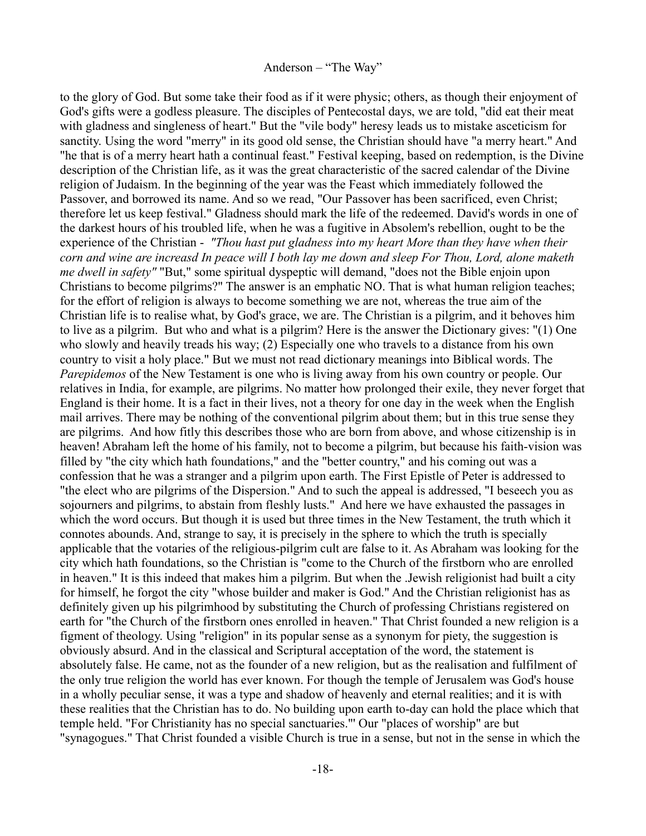to the glory of God. But some take their food as if it were physic; others, as though their enjoyment of God's gifts were a godless pleasure. The disciples of Pentecostal days, we are told, "did eat their meat with gladness and singleness of heart." But the "vile body" heresy leads us to mistake asceticism for sanctity. Using the word "merry" in its good old sense, the Christian should have "a merry heart." And "he that is of a merry heart hath a continual feast." Festival keeping, based on redemption, is the Divine description of the Christian life, as it was the great characteristic of the sacred calendar of the Divine religion of Judaism. In the beginning of the year was the Feast which immediately followed the Passover, and borrowed its name. And so we read, "Our Passover has been sacrificed, even Christ; therefore let us keep festival." Gladness should mark the life of the redeemed. David's words in one of the darkest hours of his troubled life, when he was a fugitive in Absolem's rebellion, ought to be the experience of the Christian - *"Thou hast put gladness into my heart More than they have when their corn and wine are increasd In peace will I both lay me down and sleep For Thou, Lord, alone maketh me dwell in safety"* "But," some spiritual dyspeptic will demand, "does not the Bible enjoin upon Christians to become pilgrims?" The answer is an emphatic NO. That is what human religion teaches; for the effort of religion is always to become something we are not, whereas the true aim of the Christian life is to realise what, by God's grace, we are. The Christian is a pilgrim, and it behoves him to live as a pilgrim. But who and what is a pilgrim? Here is the answer the Dictionary gives: "(1) One who slowly and heavily treads his way; (2) Especially one who travels to a distance from his own country to visit a holy place." But we must not read dictionary meanings into Biblical words. The *Parepidemos* of the New Testament is one who is living away from his own country or people. Our relatives in India, for example, are pilgrims. No matter how prolonged their exile, they never forget that England is their home. It is a fact in their lives, not a theory for one day in the week when the English mail arrives. There may be nothing of the conventional pilgrim about them; but in this true sense they are pilgrims. And how fitly this describes those who are born from above, and whose citizenship is in heaven! Abraham left the home of his family, not to become a pilgrim, but because his faith-vision was filled by "the city which hath foundations," and the "better country," and his coming out was a confession that he was a stranger and a pilgrim upon earth. The First Epistle of Peter is addressed to "the elect who are pilgrims of the Dispersion." And to such the appeal is addressed, "I beseech you as sojourners and pilgrims, to abstain from fleshly lusts." And here we have exhausted the passages in which the word occurs. But though it is used but three times in the New Testament, the truth which it connotes abounds. And, strange to say, it is precisely in the sphere to which the truth is specially applicable that the votaries of the religious-pilgrim cult are false to it. As Abraham was looking for the city which hath foundations, so the Christian is "come to the Church of the firstborn who are enrolled in heaven." It is this indeed that makes him a pilgrim. But when the .Jewish religionist had built a city for himself, he forgot the city "whose builder and maker is God." And the Christian religionist has as definitely given up his pilgrimhood by substituting the Church of professing Christians registered on earth for "the Church of the firstborn ones enrolled in heaven." That Christ founded a new religion is a figment of theology. Using "religion" in its popular sense as a synonym for piety, the suggestion is obviously absurd. And in the classical and Scriptural acceptation of the word, the statement is absolutely false. He came, not as the founder of a new religion, but as the realisation and fulfilment of the only true religion the world has ever known. For though the temple of Jerusalem was God's house in a wholly peculiar sense, it was a type and shadow of heavenly and eternal realities; and it is with these realities that the Christian has to do. No building upon earth to-day can hold the place which that temple held. "For Christianity has no special sanctuaries."' Our "places of worship" are but "synagogues." That Christ founded a visible Church is true in a sense, but not in the sense in which the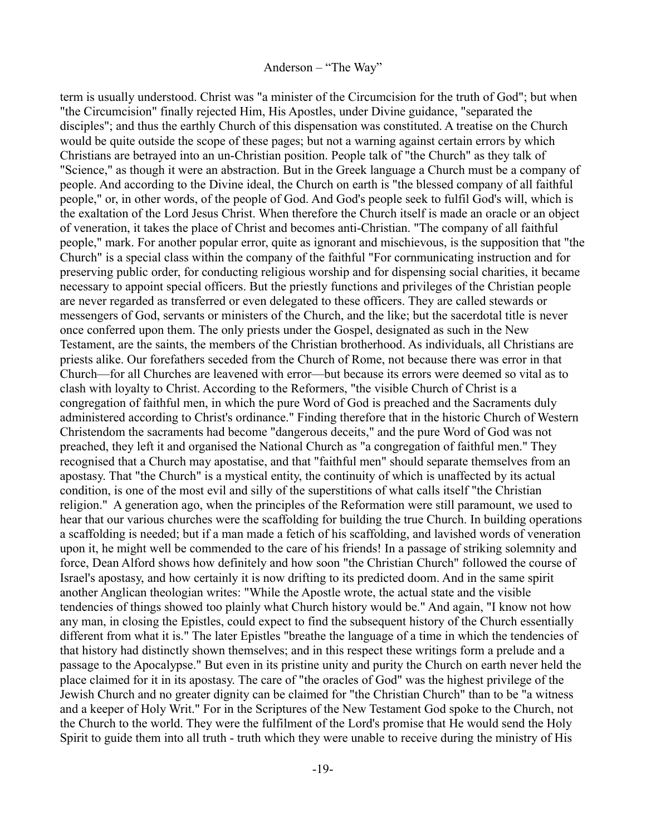term is usually understood. Christ was "a minister of the Circumcision for the truth of God"; but when "the Circumcision" finally rejected Him, His Apostles, under Divine guidance, "separated the disciples"; and thus the earthly Church of this dispensation was constituted. A treatise on the Church would be quite outside the scope of these pages; but not a warning against certain errors by which Christians are betrayed into an un-Christian position. People talk of "the Church" as they talk of "Science," as though it were an abstraction. But in the Greek language a Church must be a company of people. And according to the Divine ideal, the Church on earth is "the blessed company of all faithful people," or, in other words, of the people of God. And God's people seek to fulfil God's will, which is the exaltation of the Lord Jesus Christ. When therefore the Church itself is made an oracle or an object of veneration, it takes the place of Christ and becomes anti-Christian. "The company of all faithful people," mark. For another popular error, quite as ignorant and mischievous, is the supposition that "the Church" is a special class within the company of the faithful "For cornmunicating instruction and for preserving public order, for conducting religious worship and for dispensing social charities, it became necessary to appoint special officers. But the priestly functions and privileges of the Christian people are never regarded as transferred or even delegated to these officers. They are called stewards or messengers of God, servants or ministers of the Church, and the like; but the sacerdotal title is never once conferred upon them. The only priests under the Gospel, designated as such in the New Testament, are the saints, the members of the Christian brotherhood. As individuals, all Christians are priests alike. Our forefathers seceded from the Church of Rome, not because there was error in that Church—for all Churches are leavened with error—but because its errors were deemed so vital as to clash with loyalty to Christ. According to the Reformers, "the visible Church of Christ is a congregation of faithful men, in which the pure Word of God is preached and the Sacraments duly administered according to Christ's ordinance." Finding therefore that in the historic Church of Western Christendom the sacraments had become "dangerous deceits," and the pure Word of God was not preached, they left it and organised the National Church as "a congregation of faithful men." They recognised that a Church may apostatise, and that "faithful men" should separate themselves from an apostasy. That "the Church" is a mystical entity, the continuity of which is unaffected by its actual condition, is one of the most evil and silly of the superstitions of what calls itself "the Christian religion." A generation ago, when the principles of the Reformation were still paramount, we used to hear that our various churches were the scaffolding for building the true Church. In building operations a scaffolding is needed; but if a man made a fetich of his scaffolding, and lavished words of veneration upon it, he might well be commended to the care of his friends! In a passage of striking solemnity and force, Dean Alford shows how definitely and how soon "the Christian Church" followed the course of Israel's apostasy, and how certainly it is now drifting to its predicted doom. And in the same spirit another Anglican theologian writes: "While the Apostle wrote, the actual state and the visible tendencies of things showed too plainly what Church history would be." And again, "I know not how any man, in closing the Epistles, could expect to find the subsequent history of the Church essentially different from what it is." The later Epistles "breathe the language of a time in which the tendencies of that history had distinctly shown themselves; and in this respect these writings form a prelude and a passage to the Apocalypse." But even in its pristine unity and purity the Church on earth never held the place claimed for it in its apostasy. The care of "the oracles of God" was the highest privilege of the Jewish Church and no greater dignity can be claimed for "the Christian Church" than to be "a witness and a keeper of Holy Writ." For in the Scriptures of the New Testament God spoke to the Church, not the Church to the world. They were the fulfilment of the Lord's promise that He would send the Holy Spirit to guide them into all truth - truth which they were unable to receive during the ministry of His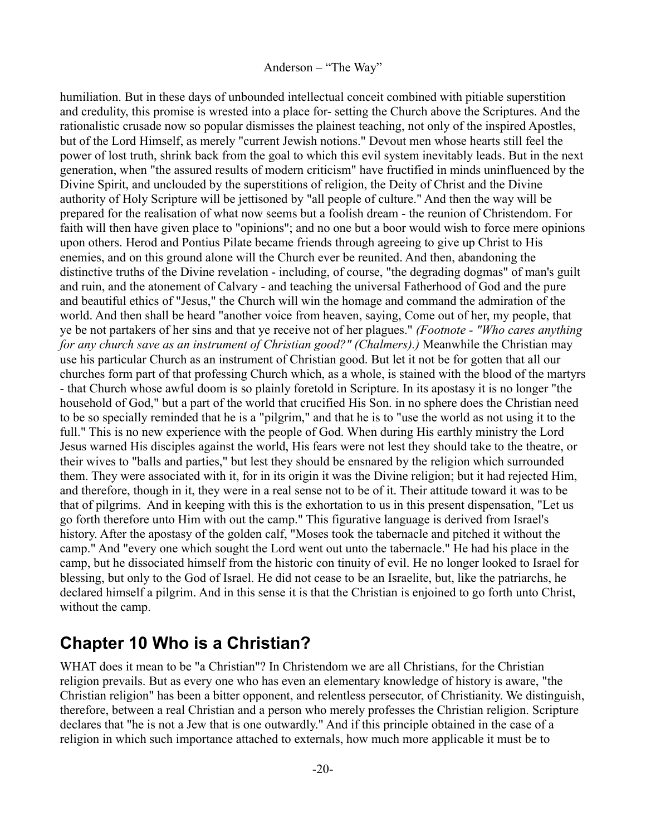humiliation. But in these days of unbounded intellectual conceit combined with pitiable superstition and credulity, this promise is wrested into a place for- setting the Church above the Scriptures. And the rationalistic crusade now so popular dismisses the plainest teaching, not only of the inspired Apostles, but of the Lord Himself, as merely "current Jewish notions." Devout men whose hearts still feel the power of lost truth, shrink back from the goal to which this evil system inevitably leads. But in the next generation, when "the assured results of modern criticism" have fructified in minds uninfluenced by the Divine Spirit, and unclouded by the superstitions of religion, the Deity of Christ and the Divine authority of Holy Scripture will be jettisoned by "all people of culture." And then the way will be prepared for the realisation of what now seems but a foolish dream - the reunion of Christendom. For faith will then have given place to "opinions"; and no one but a boor would wish to force mere opinions upon others. Herod and Pontius Pilate became friends through agreeing to give up Christ to His enemies, and on this ground alone will the Church ever be reunited. And then, abandoning the distinctive truths of the Divine revelation - including, of course, "the degrading dogmas" of man's guilt and ruin, and the atonement of Calvary - and teaching the universal Fatherhood of God and the pure and beautiful ethics of "Jesus," the Church will win the homage and command the admiration of the world. And then shall be heard "another voice from heaven, saying, Come out of her, my people, that ye be not partakers of her sins and that ye receive not of her plagues." *(Footnote - "Who cares anything for any church save as an instrument of Christian good?" (Chalmers).)* Meanwhile the Christian may use his particular Church as an instrument of Christian good. But let it not be for gotten that all our churches form part of that professing Church which, as a whole, is stained with the blood of the martyrs - that Church whose awful doom is so plainly foretold in Scripture. In its apostasy it is no longer "the household of God," but a part of the world that crucified His Son. in no sphere does the Christian need to be so specially reminded that he is a "pilgrim," and that he is to "use the world as not using it to the full." This is no new experience with the people of God. When during His earthly ministry the Lord Jesus warned His disciples against the world, His fears were not lest they should take to the theatre, or their wives to "balls and parties," but lest they should be ensnared by the religion which surrounded them. They were associated with it, for in its origin it was the Divine religion; but it had rejected Him, and therefore, though in it, they were in a real sense not to be of it. Their attitude toward it was to be that of pilgrims. And in keeping with this is the exhortation to us in this present dispensation, "Let us go forth therefore unto Him with out the camp." This figurative language is derived from Israel's history. After the apostasy of the golden calf, "Moses took the tabernacle and pitched it without the camp." And "every one which sought the Lord went out unto the tabernacle." He had his place in the camp, but he dissociated himself from the historic con tinuity of evil. He no longer looked to Israel for blessing, but only to the God of Israel. He did not cease to be an Israelite, but, like the patriarchs, he declared himself a pilgrim. And in this sense it is that the Christian is enjoined to go forth unto Christ, without the camp.

## <span id="page-19-0"></span>**Chapter 10 Who is a Christian?**

WHAT does it mean to be "a Christian"? In Christendom we are all Christians, for the Christian religion prevails. But as every one who has even an elementary knowledge of history is aware, "the Christian religion" has been a bitter opponent, and relentless persecutor, of Christianity. We distinguish, therefore, between a real Christian and a person who merely professes the Christian religion. Scripture declares that "he is not a Jew that is one outwardly." And if this principle obtained in the case of a religion in which such importance attached to externals, how much more applicable it must be to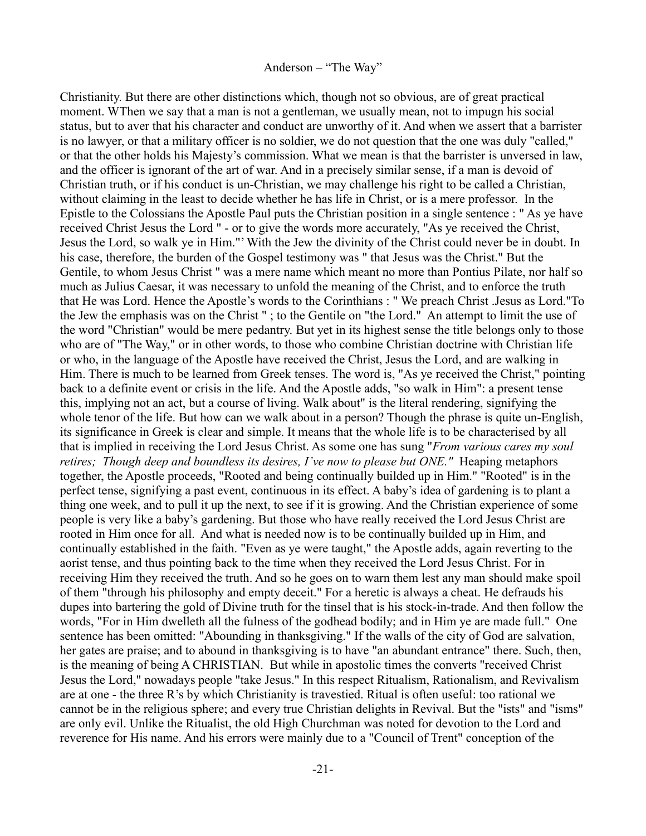Christianity. But there are other distinctions which, though not so obvious, are of great practical moment. WThen we say that a man is not a gentleman, we usually mean, not to impugn his social status, but to aver that his character and conduct are unworthy of it. And when we assert that a barrister is no lawyer, or that a military officer is no soldier, we do not question that the one was duly "called," or that the other holds his Majesty's commission. What we mean is that the barrister is unversed in law, and the officer is ignorant of the art of war. And in a precisely similar sense, if a man is devoid of Christian truth, or if his conduct is un-Christian, we may challenge his right to be called a Christian, without claiming in the least to decide whether he has life in Christ, or is a mere professor. In the Epistle to the Colossians the Apostle Paul puts the Christian position in a single sentence : " As ye have received Christ Jesus the Lord " - or to give the words more accurately, "As ye received the Christ, Jesus the Lord, so walk ye in Him."' With the Jew the divinity of the Christ could never be in doubt. In his case, therefore, the burden of the Gospel testimony was " that Jesus was the Christ." But the Gentile, to whom Jesus Christ " was a mere name which meant no more than Pontius Pilate, nor half so much as Julius Caesar, it was necessary to unfold the meaning of the Christ, and to enforce the truth that He was Lord. Hence the Apostle's words to the Corinthians : " We preach Christ .Jesus as Lord."To the Jew the emphasis was on the Christ " ; to the Gentile on "the Lord." An attempt to limit the use of the word "Christian" would be mere pedantry. But yet in its highest sense the title belongs only to those who are of "The Way," or in other words, to those who combine Christian doctrine with Christian life or who, in the language of the Apostle have received the Christ, Jesus the Lord, and are walking in Him. There is much to be learned from Greek tenses. The word is, "As ye received the Christ," pointing back to a definite event or crisis in the life. And the Apostle adds, "so walk in Him": a present tense this, implying not an act, but a course of living. Walk about" is the literal rendering, signifying the whole tenor of the life. But how can we walk about in a person? Though the phrase is quite un-English, its significance in Greek is clear and simple. It means that the whole life is to be characterised by all that is implied in receiving the Lord Jesus Christ. As some one has sung "*From various cares my soul retires; Though deep and boundless its desires, I've now to please but ONE."* Heaping metaphors together, the Apostle proceeds, "Rooted and being continually builded up in Him." "Rooted" is in the perfect tense, signifying a past event, continuous in its effect. A baby's idea of gardening is to plant a thing one week, and to pull it up the next, to see if it is growing. And the Christian experience of some people is very like a baby's gardening. But those who have really received the Lord Jesus Christ are rooted in Him once for all. And what is needed now is to be continually builded up in Him, and continually established in the faith. "Even as ye were taught," the Apostle adds, again reverting to the aorist tense, and thus pointing back to the time when they received the Lord Jesus Christ. For in receiving Him they received the truth. And so he goes on to warn them lest any man should make spoil of them "through his philosophy and empty deceit." For a heretic is always a cheat. He defrauds his dupes into bartering the gold of Divine truth for the tinsel that is his stock-in-trade. And then follow the words, "For in Him dwelleth all the fulness of the godhead bodily; and in Him ye are made full." One sentence has been omitted: "Abounding in thanksgiving." If the walls of the city of God are salvation, her gates are praise; and to abound in thanksgiving is to have "an abundant entrance" there. Such, then, is the meaning of being A CHRISTIAN. But while in apostolic times the converts "received Christ Jesus the Lord," nowadays people "take Jesus." In this respect Ritualism, Rationalism, and Revivalism are at one - the three R's by which Christianity is travestied. Ritual is often useful: too rational we cannot be in the religious sphere; and every true Christian delights in Revival. But the "ists" and "isms" are only evil. Unlike the Ritualist, the old High Churchman was noted for devotion to the Lord and reverence for His name. And his errors were mainly due to a "Council of Trent" conception of the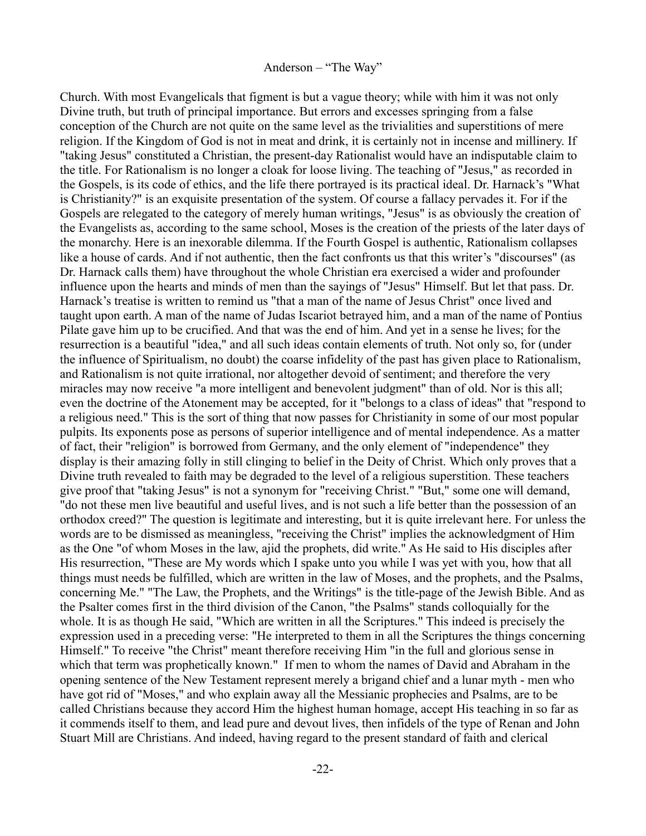Church. With most Evangelicals that figment is but a vague theory; while with him it was not only Divine truth, but truth of principal importance. But errors and excesses springing from a false conception of the Church are not quite on the same level as the trivialities and superstitions of mere religion. If the Kingdom of God is not in meat and drink, it is certainly not in incense and millinery. If "taking Jesus" constituted a Christian, the present-day Rationalist would have an indisputable claim to the title. For Rationalism is no longer a cloak for loose living. The teaching of "Jesus," as recorded in the Gospels, is its code of ethics, and the life there portrayed is its practical ideal. Dr. Harnack's "What is Christianity?" is an exquisite presentation of the system. Of course a fallacy pervades it. For if the Gospels are relegated to the category of merely human writings, "Jesus" is as obviously the creation of the Evangelists as, according to the same school, Moses is the creation of the priests of the later days of the monarchy. Here is an inexorable dilemma. If the Fourth Gospel is authentic, Rationalism collapses like a house of cards. And if not authentic, then the fact confronts us that this writer's "discourses" (as Dr. Harnack calls them) have throughout the whole Christian era exercised a wider and profounder influence upon the hearts and minds of men than the sayings of "Jesus" Himself. But let that pass. Dr. Harnack's treatise is written to remind us "that a man of the name of Jesus Christ" once lived and taught upon earth. A man of the name of Judas Iscariot betrayed him, and a man of the name of Pontius Pilate gave him up to be crucified. And that was the end of him. And yet in a sense he lives; for the resurrection is a beautiful "idea," and all such ideas contain elements of truth. Not only so, for (under the influence of Spiritualism, no doubt) the coarse infidelity of the past has given place to Rationalism, and Rationalism is not quite irrational, nor altogether devoid of sentiment; and therefore the very miracles may now receive "a more intelligent and benevolent judgment" than of old. Nor is this all; even the doctrine of the Atonement may be accepted, for it "belongs to a class of ideas" that "respond to a religious need." This is the sort of thing that now passes for Christianity in some of our most popular pulpits. Its exponents pose as persons of superior intelligence and of mental independence. As a matter of fact, their "religion" is borrowed from Germany, and the only element of "independence" they display is their amazing folly in still clinging to belief in the Deity of Christ. Which only proves that a Divine truth revealed to faith may be degraded to the level of a religious superstition. These teachers give proof that "taking Jesus" is not a synonym for "receiving Christ." "But," some one will demand, "do not these men live beautiful and useful lives, and is not such a life better than the possession of an orthodox creed?" The question is legitimate and interesting, but it is quite irrelevant here. For unless the words are to be dismissed as meaningless, "receiving the Christ" implies the acknowledgment of Him as the One "of whom Moses in the law, ajid the prophets, did write." As He said to His disciples after His resurrection, "These are My words which I spake unto you while I was yet with you, how that all things must needs be fulfilled, which are written in the law of Moses, and the prophets, and the Psalms, concerning Me." "The Law, the Prophets, and the Writings" is the title-page of the Jewish Bible. And as the Psalter comes first in the third division of the Canon, "the Psalms" stands colloquially for the whole. It is as though He said, "Which are written in all the Scriptures." This indeed is precisely the expression used in a preceding verse: "He interpreted to them in all the Scriptures the things concerning Himself." To receive "the Christ" meant therefore receiving Him "in the full and glorious sense in which that term was prophetically known." If men to whom the names of David and Abraham in the opening sentence of the New Testament represent merely a brigand chief and a lunar myth - men who have got rid of "Moses," and who explain away all the Messianic prophecies and Psalms, are to be called Christians because they accord Him the highest human homage, accept His teaching in so far as it commends itself to them, and lead pure and devout lives, then infidels of the type of Renan and John Stuart Mill are Christians. And indeed, having regard to the present standard of faith and clerical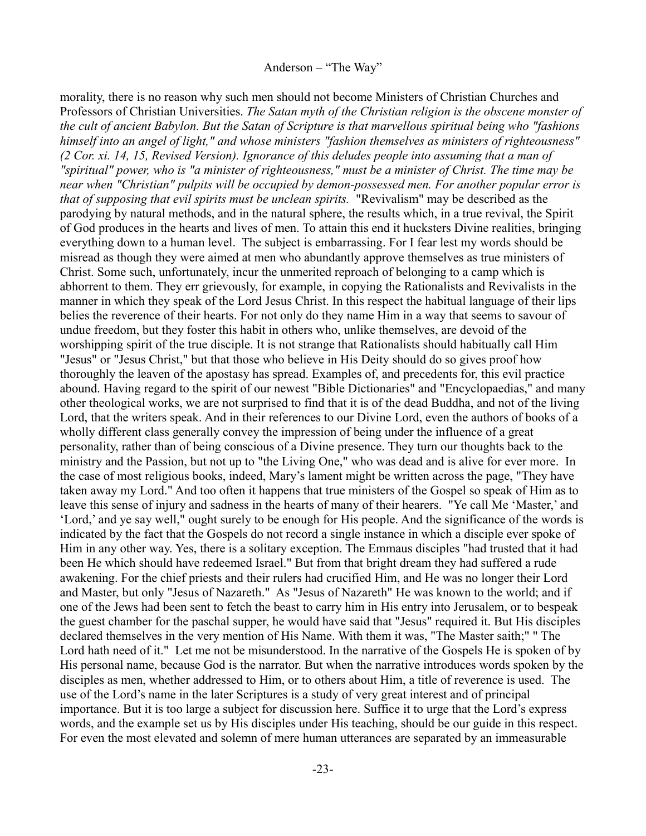morality, there is no reason why such men should not become Ministers of Christian Churches and Professors of Christian Universities. *The Satan myth of the Christian religion is the obscene monster of the cult of ancient Babylon. But the Satan of Scripture is that marvellous spiritual being who "fashions himself into an angel of light," and whose ministers "fashion themselves as ministers of righteousness" (2 Cor. xi. 14, 15, Revised Version). Ignorance of this deludes people into assuming that a man of "spiritual" power, who is "a minister of righteousness," must be a minister of Christ. The time may be near when "Christian" pulpits will be occupied by demon-possessed men. For another popular error is that of supposing that evil spirits must be unclean spirits.* "Revivalism" may be described as the parodying by natural methods, and in the natural sphere, the results which, in a true revival, the Spirit of God produces in the hearts and lives of men. To attain this end it hucksters Divine realities, bringing everything down to a human level. The subject is embarrassing. For I fear lest my words should be misread as though they were aimed at men who abundantly approve themselves as true ministers of Christ. Some such, unfortunately, incur the unmerited reproach of belonging to a camp which is abhorrent to them. They err grievously, for example, in copying the Rationalists and Revivalists in the manner in which they speak of the Lord Jesus Christ. In this respect the habitual language of their lips belies the reverence of their hearts. For not only do they name Him in a way that seems to savour of undue freedom, but they foster this habit in others who, unlike themselves, are devoid of the worshipping spirit of the true disciple. It is not strange that Rationalists should habitually call Him "Jesus" or "Jesus Christ," but that those who believe in His Deity should do so gives proof how thoroughly the leaven of the apostasy has spread. Examples of, and precedents for, this evil practice abound. Having regard to the spirit of our newest "Bible Dictionaries" and "Encyclopaedias," and many other theological works, we are not surprised to find that it is of the dead Buddha, and not of the living Lord, that the writers speak. And in their references to our Divine Lord, even the authors of books of a wholly different class generally convey the impression of being under the influence of a great personality, rather than of being conscious of a Divine presence. They turn our thoughts back to the ministry and the Passion, but not up to "the Living One," who was dead and is alive for ever more. In the case of most religious books, indeed, Mary's lament might be written across the page, "They have taken away my Lord." And too often it happens that true ministers of the Gospel so speak of Him as to leave this sense of injury and sadness in the hearts of many of their hearers. "Ye call Me 'Master,' and 'Lord,' and ye say well," ought surely to be enough for His people. And the significance of the words is indicated by the fact that the Gospels do not record a single instance in which a disciple ever spoke of Him in any other way. Yes, there is a solitary exception. The Emmaus disciples "had trusted that it had been He which should have redeemed Israel." But from that bright dream they had suffered a rude awakening. For the chief priests and their rulers had crucified Him, and He was no longer their Lord and Master, but only "Jesus of Nazareth." As "Jesus of Nazareth" He was known to the world; and if one of the Jews had been sent to fetch the beast to carry him in His entry into Jerusalem, or to bespeak the guest chamber for the paschal supper, he would have said that "Jesus" required it. But His disciples declared themselves in the very mention of His Name. With them it was, "The Master saith;" " The Lord hath need of it." Let me not be misunderstood. In the narrative of the Gospels He is spoken of by His personal name, because God is the narrator. But when the narrative introduces words spoken by the disciples as men, whether addressed to Him, or to others about Him, a title of reverence is used. The use of the Lord's name in the later Scriptures is a study of very great interest and of principal importance. But it is too large a subject for discussion here. Suffice it to urge that the Lord's express words, and the example set us by His disciples under His teaching, should be our guide in this respect. For even the most elevated and solemn of mere human utterances are separated by an immeasurable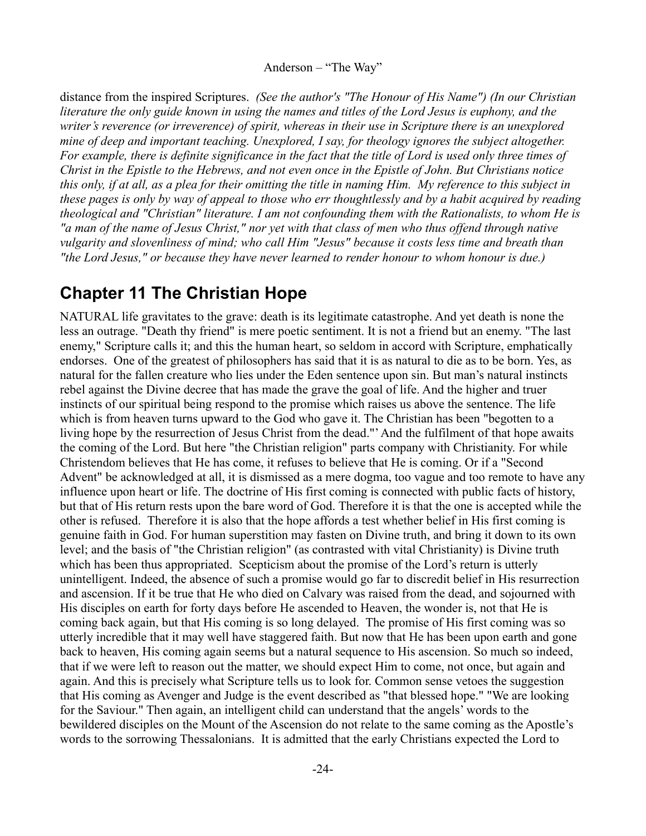distance from the inspired Scriptures. *(See the author's "The Honour of His Name") (In our Christian literature the only guide known in using the names and titles of the Lord Jesus is euphony, and the writer's reverence (or irreverence) of spirit, whereas in their use in Scripture there is an unexplored mine of deep and important teaching. Unexplored, I say, for theology ignores the subject altogether. For example, there is definite significance in the fact that the title of Lord is used only three times of Christ in the Epistle to the Hebrews, and not even once in the Epistle of John. But Christians notice this only, if at all, as a plea for their omitting the title in naming Him. My reference to this subject in these pages is only by way of appeal to those who err thoughtlessly and by a habit acquired by reading theological and "Christian" literature. I am not confounding them with the Rationalists, to whom He is "a man of the name of Jesus Christ," nor yet with that class of men who thus offend through native vulgarity and slovenliness of mind; who call Him "Jesus" because it costs less time and breath than "the Lord Jesus," or because they have never learned to render honour to whom honour is due.)*

## <span id="page-23-0"></span>**Chapter 11 The Christian Hope**

NATURAL life gravitates to the grave: death is its legitimate catastrophe. And yet death is none the less an outrage. "Death thy friend" is mere poetic sentiment. It is not a friend but an enemy. "The last enemy," Scripture calls it; and this the human heart, so seldom in accord with Scripture, emphatically endorses. One of the greatest of philosophers has said that it is as natural to die as to be born. Yes, as natural for the fallen creature who lies under the Eden sentence upon sin. But man's natural instincts rebel against the Divine decree that has made the grave the goal of life. And the higher and truer instincts of our spiritual being respond to the promise which raises us above the sentence. The life which is from heaven turns upward to the God who gave it. The Christian has been "begotten to a living hope by the resurrection of Jesus Christ from the dead."' And the fulfilment of that hope awaits the coming of the Lord. But here "the Christian religion" parts company with Christianity. For while Christendom believes that He has come, it refuses to believe that He is coming. Or if a "Second Advent" be acknowledged at all, it is dismissed as a mere dogma, too vague and too remote to have any influence upon heart or life. The doctrine of His first coming is connected with public facts of history, but that of His return rests upon the bare word of God. Therefore it is that the one is accepted while the other is refused. Therefore it is also that the hope affords a test whether belief in His first coming is genuine faith in God. For human superstition may fasten on Divine truth, and bring it down to its own level; and the basis of "the Christian religion" (as contrasted with vital Christianity) is Divine truth which has been thus appropriated. Scepticism about the promise of the Lord's return is utterly unintelligent. Indeed, the absence of such a promise would go far to discredit belief in His resurrection and ascension. If it be true that He who died on Calvary was raised from the dead, and sojourned with His disciples on earth for forty days before He ascended to Heaven, the wonder is, not that He is coming back again, but that His coming is so long delayed. The promise of His first coming was so utterly incredible that it may well have staggered faith. But now that He has been upon earth and gone back to heaven, His coming again seems but a natural sequence to His ascension. So much so indeed, that if we were left to reason out the matter, we should expect Him to come, not once, but again and again. And this is precisely what Scripture tells us to look for. Common sense vetoes the suggestion that His coming as Avenger and Judge is the event described as "that blessed hope." "We are looking for the Saviour." Then again, an intelligent child can understand that the angels' words to the bewildered disciples on the Mount of the Ascension do not relate to the same coming as the Apostle's words to the sorrowing Thessalonians. It is admitted that the early Christians expected the Lord to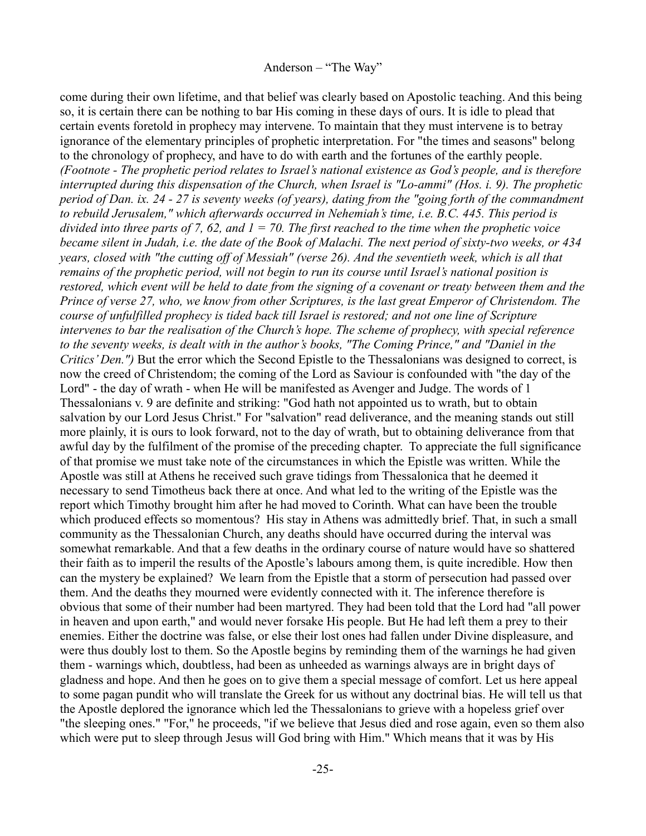come during their own lifetime, and that belief was clearly based on Apostolic teaching. And this being so, it is certain there can be nothing to bar His coming in these days of ours. It is idle to plead that certain events foretold in prophecy may intervene. To maintain that they must intervene is to betray ignorance of the elementary principles of prophetic interpretation. For "the times and seasons" belong to the chronology of prophecy, and have to do with earth and the fortunes of the earthly people. *(Footnote - The prophetic period relates to Israel's national existence as God's people, and is therefore interrupted during this dispensation of the Church, when Israel is "Lo-ammi" (Hos. i. 9). The prophetic period of Dan. ix. 24 - 27 is seventy weeks (of years), dating from the "going forth of the commandment to rebuild Jerusalem," which afterwards occurred in Nehemiah's time, i.e. B.C. 445. This period is divided into three parts of 7, 62, and 1 = 70. The first reached to the time when the prophetic voice became silent in Judah, i.e. the date of the Book of Malachi. The next period of sixty-two weeks, or 434 years, closed with "the cutting off of Messiah" (verse 26). And the seventieth week, which is all that remains of the prophetic period, will not begin to run its course until Israel's national position is restored, which event will be held to date from the signing of a covenant or treaty between them and the Prince of verse 27, who, we know from other Scriptures, is the last great Emperor of Christendom. The course of unfulfilled prophecy is tided back till Israel is restored; and not one line of Scripture intervenes to bar the realisation of the Church's hope. The scheme of prophecy, with special reference to the seventy weeks, is dealt with in the author's books, "The Coming Prince," and "Daniel in the Critics' Den."*) But the error which the Second Epistle to the Thessalonians was designed to correct, is now the creed of Christendom; the coming of the Lord as Saviour is confounded with "the day of the Lord" - the day of wrath - when He will be manifested as Avenger and Judge. The words of 1 Thessalonians v. 9 are definite and striking: "God hath not appointed us to wrath, but to obtain salvation by our Lord Jesus Christ." For "salvation" read deliverance, and the meaning stands out still more plainly, it is ours to look forward, not to the day of wrath, but to obtaining deliverance from that awful day by the fulfilment of the promise of the preceding chapter. To appreciate the full significance of that promise we must take note of the circumstances in which the Epistle was written. While the Apostle was still at Athens he received such grave tidings from Thessalonica that he deemed it necessary to send Timotheus back there at once. And what led to the writing of the Epistle was the report which Timothy brought him after he had moved to Corinth. What can have been the trouble which produced effects so momentous? His stay in Athens was admittedly brief. That, in such a small community as the Thessalonian Church, any deaths should have occurred during the interval was somewhat remarkable. And that a few deaths in the ordinary course of nature would have so shattered their faith as to imperil the results of the Apostle's labours among them, is quite incredible. How then can the mystery be explained? We learn from the Epistle that a storm of persecution had passed over them. And the deaths they mourned were evidently connected with it. The inference therefore is obvious that some of their number had been martyred. They had been told that the Lord had "all power in heaven and upon earth," and would never forsake His people. But He had left them a prey to their enemies. Either the doctrine was false, or else their lost ones had fallen under Divine displeasure, and were thus doubly lost to them. So the Apostle begins by reminding them of the warnings he had given them - warnings which, doubtless, had been as unheeded as warnings always are in bright days of gladness and hope. And then he goes on to give them a special message of comfort. Let us here appeal to some pagan pundit who will translate the Greek for us without any doctrinal bias. He will tell us that the Apostle deplored the ignorance which led the Thessalonians to grieve with a hopeless grief over "the sleeping ones." "For," he proceeds, "if we believe that Jesus died and rose again, even so them also which were put to sleep through Jesus will God bring with Him." Which means that it was by His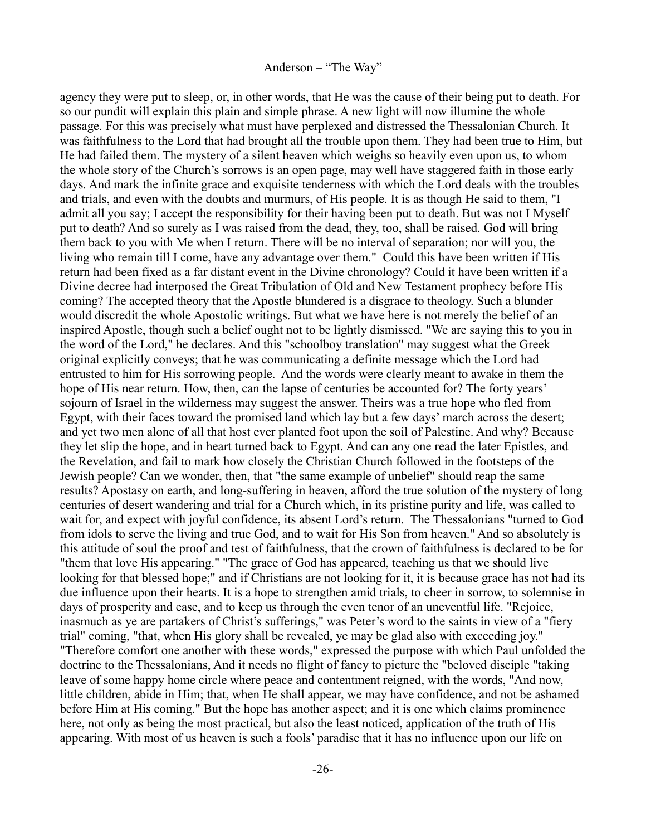agency they were put to sleep, or, in other words, that He was the cause of their being put to death. For so our pundit will explain this plain and simple phrase. A new light will now illumine the whole passage. For this was precisely what must have perplexed and distressed the Thessalonian Church. It was faithfulness to the Lord that had brought all the trouble upon them. They had been true to Him, but He had failed them. The mystery of a silent heaven which weighs so heavily even upon us, to whom the whole story of the Church's sorrows is an open page, may well have staggered faith in those early days. And mark the infinite grace and exquisite tenderness with which the Lord deals with the troubles and trials, and even with the doubts and murmurs, of His people. It is as though He said to them, "I admit all you say; I accept the responsibility for their having been put to death. But was not I Myself put to death? And so surely as I was raised from the dead, they, too, shall be raised. God will bring them back to you with Me when I return. There will be no interval of separation; nor will you, the living who remain till I come, have any advantage over them." Could this have been written if His return had been fixed as a far distant event in the Divine chronology? Could it have been written if a Divine decree had interposed the Great Tribulation of Old and New Testament prophecy before His coming? The accepted theory that the Apostle blundered is a disgrace to theology. Such a blunder would discredit the whole Apostolic writings. But what we have here is not merely the belief of an inspired Apostle, though such a belief ought not to be lightly dismissed. "We are saying this to you in the word of the Lord," he declares. And this "schoolboy translation" may suggest what the Greek original explicitly conveys; that he was communicating a definite message which the Lord had entrusted to him for His sorrowing people. And the words were clearly meant to awake in them the hope of His near return. How, then, can the lapse of centuries be accounted for? The forty years' sojourn of Israel in the wilderness may suggest the answer. Theirs was a true hope who fled from Egypt, with their faces toward the promised land which lay but a few days' march across the desert; and yet two men alone of all that host ever planted foot upon the soil of Palestine. And why? Because they let slip the hope, and in heart turned back to Egypt. And can any one read the later Epistles, and the Revelation, and fail to mark how closely the Christian Church followed in the footsteps of the Jewish people? Can we wonder, then, that "the same example of unbelief" should reap the same results? Apostasy on earth, and long-suffering in heaven, afford the true solution of the mystery of long centuries of desert wandering and trial for a Church which, in its pristine purity and life, was called to wait for, and expect with joyful confidence, its absent Lord's return. The Thessalonians "turned to God from idols to serve the living and true God, and to wait for His Son from heaven." And so absolutely is this attitude of soul the proof and test of faithfulness, that the crown of faithfulness is declared to be for "them that love His appearing." "The grace of God has appeared, teaching us that we should live looking for that blessed hope;" and if Christians are not looking for it, it is because grace has not had its due influence upon their hearts. It is a hope to strengthen amid trials, to cheer in sorrow, to solemnise in days of prosperity and ease, and to keep us through the even tenor of an uneventful life. "Rejoice, inasmuch as ye are partakers of Christ's sufferings," was Peter's word to the saints in view of a "fiery trial" coming, "that, when His glory shall be revealed, ye may be glad also with exceeding joy." "Therefore comfort one another with these words," expressed the purpose with which Paul unfolded the doctrine to the Thessalonians, And it needs no flight of fancy to picture the "beloved disciple "taking leave of some happy home circle where peace and contentment reigned, with the words, "And now, little children, abide in Him; that, when He shall appear, we may have confidence, and not be ashamed before Him at His coming." But the hope has another aspect; and it is one which claims prominence here, not only as being the most practical, but also the least noticed, application of the truth of His appearing. With most of us heaven is such a fools' paradise that it has no influence upon our life on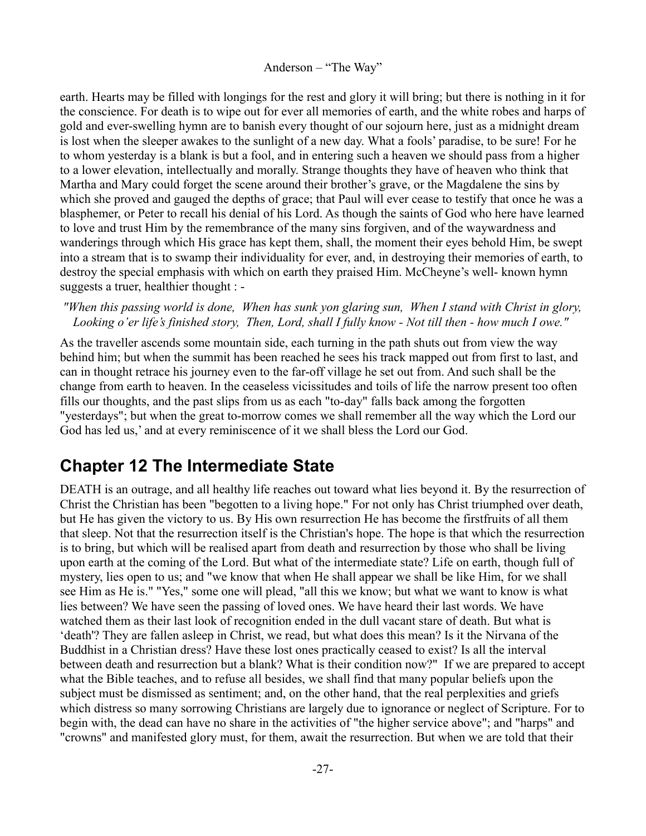earth. Hearts may be filled with longings for the rest and glory it will bring; but there is nothing in it for the conscience. For death is to wipe out for ever all memories of earth, and the white robes and harps of gold and ever-swelling hymn are to banish every thought of our sojourn here, just as a midnight dream is lost when the sleeper awakes to the sunlight of a new day. What a fools' paradise, to be sure! For he to whom yesterday is a blank is but a fool, and in entering such a heaven we should pass from a higher to a lower elevation, intellectually and morally. Strange thoughts they have of heaven who think that Martha and Mary could forget the scene around their brother's grave, or the Magdalene the sins by which she proved and gauged the depths of grace; that Paul will ever cease to testify that once he was a blasphemer, or Peter to recall his denial of his Lord. As though the saints of God who here have learned to love and trust Him by the remembrance of the many sins forgiven, and of the waywardness and wanderings through which His grace has kept them, shall, the moment their eyes behold Him, be swept into a stream that is to swamp their individuality for ever, and, in destroying their memories of earth, to destroy the special emphasis with which on earth they praised Him. McCheyne's well- known hymn suggests a truer, healthier thought : -

*"When this passing world is done, When has sunk yon glaring sun, When I stand with Christ in glory, Looking o'er life's finished story, Then, Lord, shall I fully know - Not till then - how much I owe."*

As the traveller ascends some mountain side, each turning in the path shuts out from view the way behind him; but when the summit has been reached he sees his track mapped out from first to last, and can in thought retrace his journey even to the far-off village he set out from. And such shall be the change from earth to heaven. In the ceaseless vicissitudes and toils of life the narrow present too often fills our thoughts, and the past slips from us as each "to-day" falls back among the forgotten "yesterdays"; but when the great to-morrow comes we shall remember all the way which the Lord our God has led us,' and at every reminiscence of it we shall bless the Lord our God.

# <span id="page-26-0"></span>**Chapter 12 The Intermediate State**

DEATH is an outrage, and all healthy life reaches out toward what lies beyond it. By the resurrection of Christ the Christian has been "begotten to a living hope." For not only has Christ triumphed over death, but He has given the victory to us. By His own resurrection He has become the firstfruits of all them that sleep. Not that the resurrection itself is the Christian's hope. The hope is that which the resurrection is to bring, but which will be realised apart from death and resurrection by those who shall be living upon earth at the coming of the Lord. But what of the intermediate state? Life on earth, though full of mystery, lies open to us; and "we know that when He shall appear we shall be like Him, for we shall see Him as He is." "Yes," some one will plead, "all this we know; but what we want to know is what lies between? We have seen the passing of loved ones. We have heard their last words. We have watched them as their last look of recognition ended in the dull vacant stare of death. But what is 'death'? They are fallen asleep in Christ, we read, but what does this mean? Is it the Nirvana of the Buddhist in a Christian dress? Have these lost ones practically ceased to exist? Is all the interval between death and resurrection but a blank? What is their condition now?" If we are prepared to accept what the Bible teaches, and to refuse all besides, we shall find that many popular beliefs upon the subject must be dismissed as sentiment; and, on the other hand, that the real perplexities and griefs which distress so many sorrowing Christians are largely due to ignorance or neglect of Scripture. For to begin with, the dead can have no share in the activities of "the higher service above"; and "harps" and "crowns" and manifested glory must, for them, await the resurrection. But when we are told that their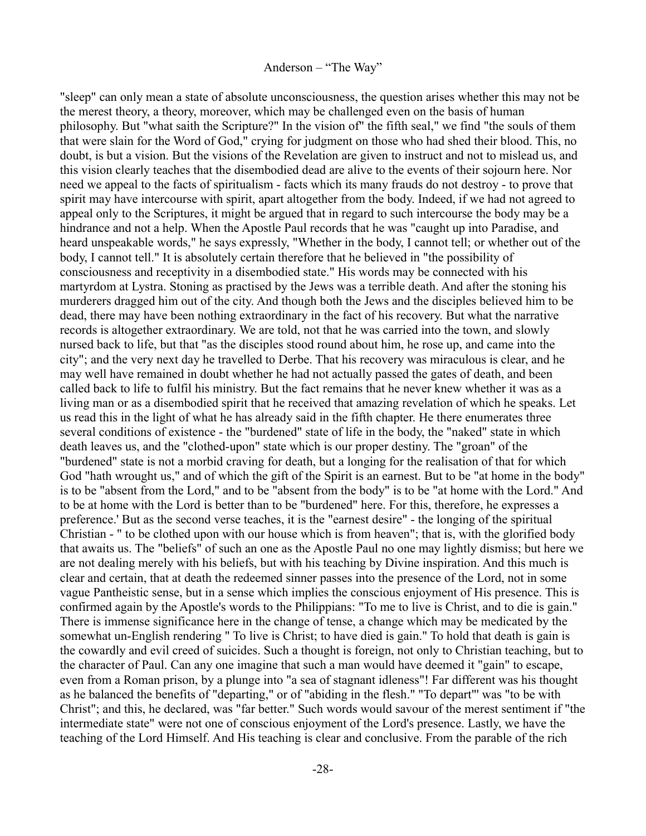"sleep" can only mean a state of absolute unconsciousness, the question arises whether this may not be the merest theory, a theory, moreover, which may be challenged even on the basis of human philosophy. But "what saith the Scripture?" In the vision of" the fifth seal," we find "the souls of them that were slain for the Word of God," crying for judgment on those who had shed their blood. This, no doubt, is but a vision. But the visions of the Revelation are given to instruct and not to mislead us, and this vision clearly teaches that the disembodied dead are alive to the events of their sojourn here. Nor need we appeal to the facts of spiritualism - facts which its many frauds do not destroy - to prove that spirit may have intercourse with spirit, apart altogether from the body. Indeed, if we had not agreed to appeal only to the Scriptures, it might be argued that in regard to such intercourse the body may be a hindrance and not a help. When the Apostle Paul records that he was "caught up into Paradise, and heard unspeakable words," he says expressly, "Whether in the body, I cannot tell; or whether out of the body, I cannot tell." It is absolutely certain therefore that he believed in "the possibility of consciousness and receptivity in a disembodied state." His words may be connected with his martyrdom at Lystra. Stoning as practised by the Jews was a terrible death. And after the stoning his murderers dragged him out of the city. And though both the Jews and the disciples believed him to be dead, there may have been nothing extraordinary in the fact of his recovery. But what the narrative records is altogether extraordinary. We are told, not that he was carried into the town, and slowly nursed back to life, but that "as the disciples stood round about him, he rose up, and came into the city"; and the very next day he travelled to Derbe. That his recovery was miraculous is clear, and he may well have remained in doubt whether he had not actually passed the gates of death, and been called back to life to fulfil his ministry. But the fact remains that he never knew whether it was as a living man or as a disembodied spirit that he received that amazing revelation of which he speaks. Let us read this in the light of what he has already said in the fifth chapter. He there enumerates three several conditions of existence - the "burdened" state of life in the body, the "naked" state in which death leaves us, and the "clothed-upon" state which is our proper destiny. The "groan" of the "burdened" state is not a morbid craving for death, but a longing for the realisation of that for which God "hath wrought us," and of which the gift of the Spirit is an earnest. But to be "at home in the body" is to be "absent from the Lord," and to be "absent from the body" is to be "at home with the Lord." And to be at home with the Lord is better than to be "burdened" here. For this, therefore, he expresses a preference.' But as the second verse teaches, it is the "earnest desire" - the longing of the spiritual Christian - " to be clothed upon with our house which is from heaven"; that is, with the glorified body that awaits us. The "beliefs" of such an one as the Apostle Paul no one may lightly dismiss; but here we are not dealing merely with his beliefs, but with his teaching by Divine inspiration. And this much is clear and certain, that at death the redeemed sinner passes into the presence of the Lord, not in some vague Pantheistic sense, but in a sense which implies the conscious enjoyment of His presence. This is confirmed again by the Apostle's words to the Philippians: "To me to live is Christ, and to die is gain." There is immense significance here in the change of tense, a change which may be medicated by the somewhat un-English rendering " To live is Christ; to have died is gain." To hold that death is gain is the cowardly and evil creed of suicides. Such a thought is foreign, not only to Christian teaching, but to the character of Paul. Can any one imagine that such a man would have deemed it "gain" to escape, even from a Roman prison, by a plunge into "a sea of stagnant idleness"! Far different was his thought as he balanced the benefits of "departing," or of "abiding in the flesh." "To depart"' was "to be with Christ"; and this, he declared, was "far better." Such words would savour of the merest sentiment if "the intermediate state" were not one of conscious enjoyment of the Lord's presence. Lastly, we have the teaching of the Lord Himself. And His teaching is clear and conclusive. From the parable of the rich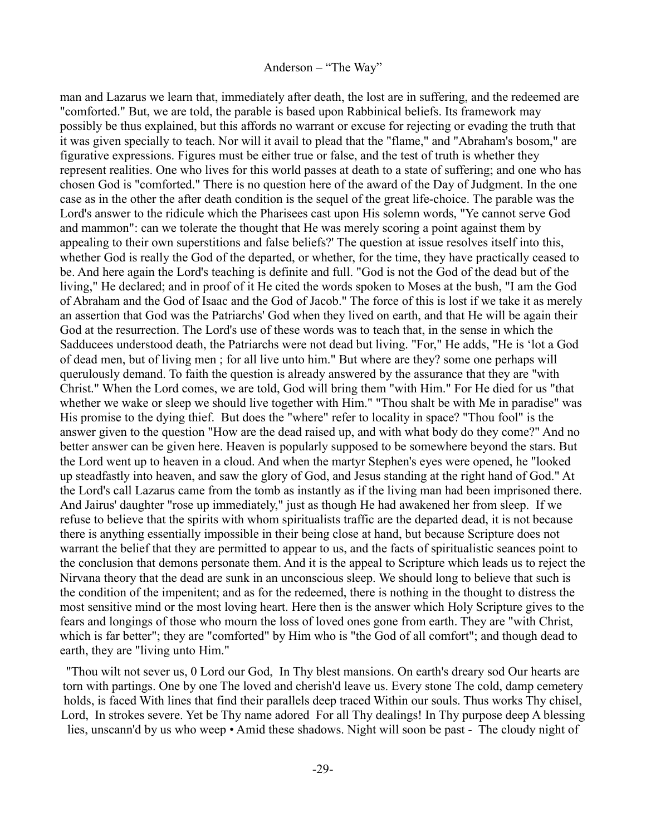man and Lazarus we learn that, immediately after death, the lost are in suffering, and the redeemed are "comforted." But, we are told, the parable is based upon Rabbinical beliefs. Its framework may possibly be thus explained, but this affords no warrant or excuse for rejecting or evading the truth that it was given specially to teach. Nor will it avail to plead that the "flame," and "Abraham's bosom," are figurative expressions. Figures must be either true or false, and the test of truth is whether they represent realities. One who lives for this world passes at death to a state of suffering; and one who has chosen God is "comforted." There is no question here of the award of the Day of Judgment. In the one case as in the other the after death condition is the sequel of the great life-choice. The parable was the Lord's answer to the ridicule which the Pharisees cast upon His solemn words, "Ye cannot serve God and mammon": can we tolerate the thought that He was merely scoring a point against them by appealing to their own superstitions and false beliefs?' The question at issue resolves itself into this, whether God is really the God of the departed, or whether, for the time, they have practically ceased to be. And here again the Lord's teaching is definite and full. "God is not the God of the dead but of the living," He declared; and in proof of it He cited the words spoken to Moses at the bush, "I am the God of Abraham and the God of Isaac and the God of Jacob." The force of this is lost if we take it as merely an assertion that God was the Patriarchs' God when they lived on earth, and that He will be again their God at the resurrection. The Lord's use of these words was to teach that, in the sense in which the Sadducees understood death, the Patriarchs were not dead but living. "For," He adds, "He is 'lot a God of dead men, but of living men ; for all live unto him." But where are they? some one perhaps will querulously demand. To faith the question is already answered by the assurance that they are "with Christ." When the Lord comes, we are told, God will bring them "with Him." For He died for us "that whether we wake or sleep we should live together with Him." "Thou shalt be with Me in paradise" was His promise to the dying thief. But does the "where" refer to locality in space? "Thou fool" is the answer given to the question "How are the dead raised up, and with what body do they come?" And no better answer can be given here. Heaven is popularly supposed to be somewhere beyond the stars. But the Lord went up to heaven in a cloud. And when the martyr Stephen's eyes were opened, he "looked up steadfastly into heaven, and saw the glory of God, and Jesus standing at the right hand of God." At the Lord's call Lazarus came from the tomb as instantly as if the living man had been imprisoned there. And Jairus' daughter "rose up immediately," just as though He had awakened her from sleep. If we refuse to believe that the spirits with whom spiritualists traffic are the departed dead, it is not because there is anything essentially impossible in their being close at hand, but because Scripture does not warrant the belief that they are permitted to appear to us, and the facts of spiritualistic seances point to the conclusion that demons personate them. And it is the appeal to Scripture which leads us to reject the Nirvana theory that the dead are sunk in an unconscious sleep. We should long to believe that such is the condition of the impenitent; and as for the redeemed, there is nothing in the thought to distress the most sensitive mind or the most loving heart. Here then is the answer which Holy Scripture gives to the fears and longings of those who mourn the loss of loved ones gone from earth. They are "with Christ, which is far better"; they are "comforted" by Him who is "the God of all comfort"; and though dead to earth, they are "living unto Him."

"Thou wilt not sever us, 0 Lord our God, In Thy blest mansions. On earth's dreary sod Our hearts are torn with partings. One by one The loved and cherish'd leave us. Every stone The cold, damp cemetery holds, is faced With lines that find their parallels deep traced Within our souls. Thus works Thy chisel, Lord, In strokes severe. Yet be Thy name adored For all Thy dealings! In Thy purpose deep A blessing lies, unscann'd by us who weep • Amid these shadows. Night will soon be past - The cloudy night of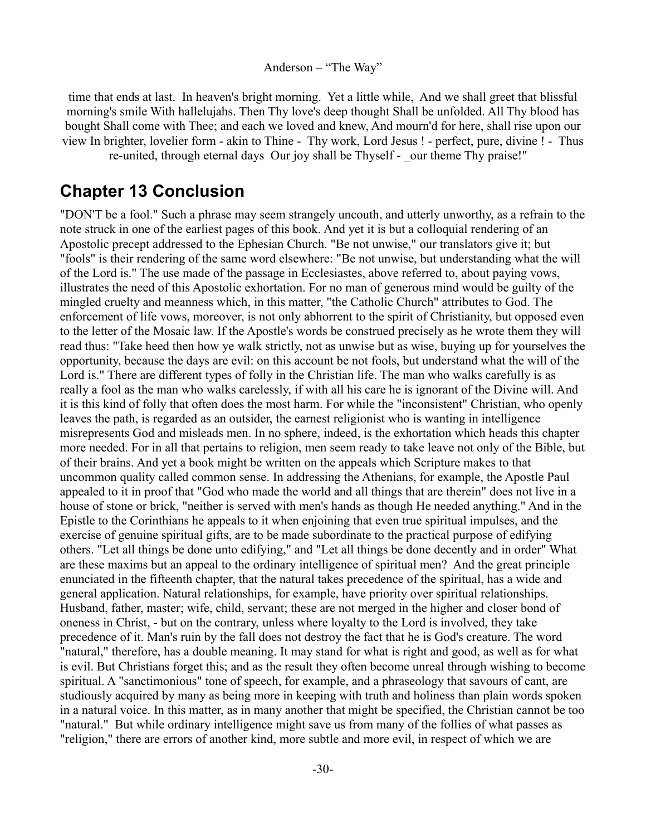time that ends at last. In heaven's bright morning. Yet a little while, And we shall greet that blissful morning's smile With hallelujahs. Then Thy love's deep thought Shall be unfolded. All Thy blood has bought Shall come with Thee; and each we loved and knew, And mourn'd for here, shall rise upon our view In brighter, lovelier form - akin to Thine - Thy work, Lord Jesus ! - perfect, pure, divine ! - Thus re-united, through eternal days Our joy shall be Thyself - \_our theme Thy praise!"

## <span id="page-29-0"></span>**Chapter 13 Conclusion**

"DON'T be a fool." Such a phrase may seem strangely uncouth, and utterly unworthy, as a refrain to the note struck in one of the earliest pages of this book. And yet it is but a colloquial rendering of an Apostolic precept addressed to the Ephesian Church. "Be not unwise," our translators give it; but "fools" is their rendering of the same word elsewhere: "Be not unwise, but understanding what the will of the Lord is." The use made of the passage in Ecclesiastes, above referred to, about paying vows, illustrates the need of this Apostolic exhortation. For no man of generous mind would be guilty of the mingled cruelty and meanness which, in this matter, "the Catholic Church" attributes to God. The enforcement of life vows, moreover, is not only abhorrent to the spirit of Christianity, but opposed even to the letter of the Mosaic law. If the Apostle's words be construed precisely as he wrote them they will read thus: "Take heed then how ye walk strictly, not as unwise but as wise, buying up for yourselves the opportunity, because the days are evil: on this account be not fools, but understand what the will of the Lord is." There are different types of folly in the Christian life. The man who walks carefully is as really a fool as the man who walks carelessly, if with all his care he is ignorant of the Divine will. And it is this kind of folly that often does the most harm. For while the "inconsistent" Christian, who openly leaves the path, is regarded as an outsider, the earnest religionist who is wanting in intelligence misrepresents God and misleads men. In no sphere, indeed, is the exhortation which heads this chapter more needed. For in all that pertains to religion, men seem ready to take leave not only of the Bible, but of their brains. And yet a book might be written on the appeals which Scripture makes to that uncommon quality called common sense. In addressing the Athenians, for example, the Apostle Paul appealed to it in proof that "God who made the world and all things that are therein" does not live in a house of stone or brick, "neither is served with men's hands as though He needed anything." And in the Epistle to the Corinthians he appeals to it when enjoining that even true spiritual impulses, and the exercise of genuine spiritual gifts, are to be made subordinate to the practical purpose of edifying others. "Let all things be done unto edifying," and "Let all things be done decently and in order" What are these maxims but an appeal to the ordinary intelligence of spiritual men? And the great principle enunciated in the fifteenth chapter, that the natural takes precedence of the spiritual, has a wide and general application. Natural relationships, for example, have priority over spiritual relationships. Husband, father, master; wife, child, servant; these are not merged in the higher and closer bond of oneness in Christ, - but on the contrary, unless where loyalty to the Lord is involved, they take precedence of it. Man's ruin by the fall does not destroy the fact that he is God's creature. The word "natural," therefore, has a double meaning. It may stand for what is right and good, as well as for what is evil. But Christians forget this; and as the result they often become unreal through wishing to become spiritual. A "sanctimonious" tone of speech, for example, and a phraseology that savours of cant, are studiously acquired by many as being more in keeping with truth and holiness than plain words spoken in a natural voice. In this matter, as in many another that might be specified, the Christian cannot be too "natural." But while ordinary intelligence might save us from many of the follies of what passes as "religion," there are errors of another kind, more subtle and more evil, in respect of which we are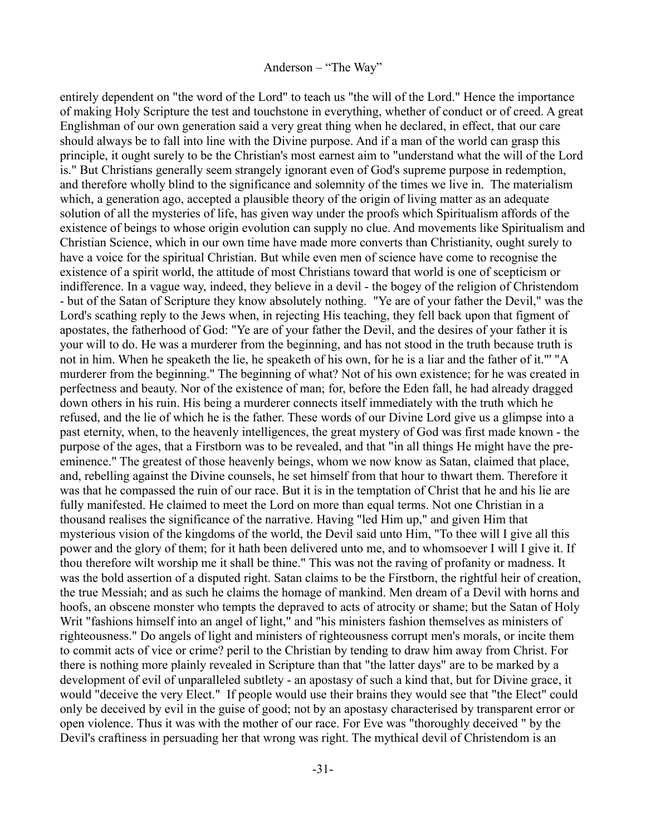entirely dependent on "the word of the Lord" to teach us "the will of the Lord." Hence the importance of making Holy Scripture the test and touchstone in everything, whether of conduct or of creed. A great Englishman of our own generation said a very great thing when he declared, in effect, that our care should always be to fall into line with the Divine purpose. And if a man of the world can grasp this principle, it ought surely to be the Christian's most earnest aim to "understand what the will of the Lord is." But Christians generally seem strangely ignorant even of God's supreme purpose in redemption, and therefore wholly blind to the significance and solemnity of the times we live in. The materialism which, a generation ago, accepted a plausible theory of the origin of living matter as an adequate solution of all the mysteries of life, has given way under the proofs which Spiritualism affords of the existence of beings to whose origin evolution can supply no clue. And movements like Spiritualism and Christian Science, which in our own time have made more converts than Christianity, ought surely to have a voice for the spiritual Christian. But while even men of science have come to recognise the existence of a spirit world, the attitude of most Christians toward that world is one of scepticism or indifference. In a vague way, indeed, they believe in a devil - the bogey of the religion of Christendom - but of the Satan of Scripture they know absolutely nothing. "Ye are of your father the Devil," was the Lord's scathing reply to the Jews when, in rejecting His teaching, they fell back upon that figment of apostates, the fatherhood of God: "Ye are of your father the Devil, and the desires of your father it is your will to do. He was a murderer from the beginning, and has not stood in the truth because truth is not in him. When he speaketh the lie, he speaketh of his own, for he is a liar and the father of it."' "A murderer from the beginning." The beginning of what? Not of his own existence; for he was created in perfectness and beauty. Nor of the existence of man; for, before the Eden fall, he had already dragged down others in his ruin. His being a murderer connects itself immediately with the truth which he refused, and the lie of which he is the father. These words of our Divine Lord give us a glimpse into a past eternity, when, to the heavenly intelligences, the great mystery of God was first made known - the purpose of the ages, that a Firstborn was to be revealed, and that "in all things He might have the preeminence." The greatest of those heavenly beings, whom we now know as Satan, claimed that place, and, rebelling against the Divine counsels, he set himself from that hour to thwart them. Therefore it was that he compassed the ruin of our race. But it is in the temptation of Christ that he and his lie are fully manifested. He claimed to meet the Lord on more than equal terms. Not one Christian in a thousand realises the significance of the narrative. Having "led Him up," and given Him that mysterious vision of the kingdoms of the world, the Devil said unto Him, "To thee will I give all this power and the glory of them; for it hath been delivered unto me, and to whomsoever I will I give it. If thou therefore wilt worship me it shall be thine." This was not the raving of profanity or madness. It was the bold assertion of a disputed right. Satan claims to be the Firstborn, the rightful heir of creation, the true Messiah; and as such he claims the homage of mankind. Men dream of a Devil with horns and hoofs, an obscene monster who tempts the depraved to acts of atrocity or shame; but the Satan of Holy Writ "fashions himself into an angel of light," and "his ministers fashion themselves as ministers of righteousness." Do angels of light and ministers of righteousness corrupt men's morals, or incite them to commit acts of vice or crime? peril to the Christian by tending to draw him away from Christ. For there is nothing more plainly revealed in Scripture than that "the latter days" are to be marked by a development of evil of unparalleled subtlety - an apostasy of such a kind that, but for Divine grace, it would "deceive the very Elect." If people would use their brains they would see that "the Elect" could only be deceived by evil in the guise of good; not by an apostasy characterised by transparent error or open violence. Thus it was with the mother of our race. For Eve was "thoroughly deceived " by the Devil's craftiness in persuading her that wrong was right. The mythical devil of Christendom is an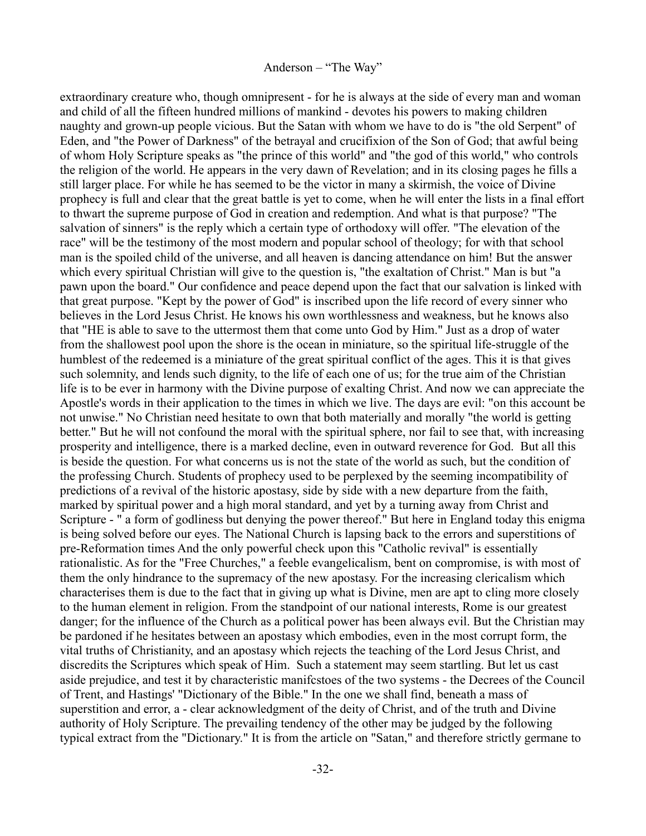extraordinary creature who, though omnipresent - for he is always at the side of every man and woman and child of all the fifteen hundred millions of mankind - devotes his powers to making children naughty and grown-up people vicious. But the Satan with whom we have to do is "the old Serpent" of Eden, and "the Power of Darkness" of the betrayal and crucifixion of the Son of God; that awful being of whom Holy Scripture speaks as "the prince of this world" and "the god of this world," who controls the religion of the world. He appears in the very dawn of Revelation; and in its closing pages he fills a still larger place. For while he has seemed to be the victor in many a skirmish, the voice of Divine prophecy is full and clear that the great battle is yet to come, when he will enter the lists in a final effort to thwart the supreme purpose of God in creation and redemption. And what is that purpose? "The salvation of sinners" is the reply which a certain type of orthodoxy will offer. "The elevation of the race" will be the testimony of the most modern and popular school of theology; for with that school man is the spoiled child of the universe, and all heaven is dancing attendance on him! But the answer which every spiritual Christian will give to the question is, "the exaltation of Christ." Man is but "a pawn upon the board." Our confidence and peace depend upon the fact that our salvation is linked with that great purpose. "Kept by the power of God" is inscribed upon the life record of every sinner who believes in the Lord Jesus Christ. He knows his own worthlessness and weakness, but he knows also that "HE is able to save to the uttermost them that come unto God by Him." Just as a drop of water from the shallowest pool upon the shore is the ocean in miniature, so the spiritual life-struggle of the humblest of the redeemed is a miniature of the great spiritual conflict of the ages. This it is that gives such solemnity, and lends such dignity, to the life of each one of us; for the true aim of the Christian life is to be ever in harmony with the Divine purpose of exalting Christ. And now we can appreciate the Apostle's words in their application to the times in which we live. The days are evil: "on this account be not unwise." No Christian need hesitate to own that both materially and morally "the world is getting better." But he will not confound the moral with the spiritual sphere, nor fail to see that, with increasing prosperity and intelligence, there is a marked decline, even in outward reverence for God. But all this is beside the question. For what concerns us is not the state of the world as such, but the condition of the professing Church. Students of prophecy used to be perplexed by the seeming incompatibility of predictions of a revival of the historic apostasy, side by side with a new departure from the faith, marked by spiritual power and a high moral standard, and yet by a turning away from Christ and Scripture - " a form of godliness but denying the power thereof." But here in England today this enigma is being solved before our eyes. The National Church is lapsing back to the errors and superstitions of pre-Reformation times And the only powerful check upon this "Catholic revival" is essentially rationalistic. As for the "Free Churches," a feeble evangelicalism, bent on compromise, is with most of them the only hindrance to the supremacy of the new apostasy. For the increasing clericalism which characterises them is due to the fact that in giving up what is Divine, men are apt to cling more closely to the human element in religion. From the standpoint of our national interests, Rome is our greatest danger; for the influence of the Church as a political power has been always evil. But the Christian may be pardoned if he hesitates between an apostasy which embodies, even in the most corrupt form, the vital truths of Christianity, and an apostasy which rejects the teaching of the Lord Jesus Christ, and discredits the Scriptures which speak of Him. Such a statement may seem startling. But let us cast aside prejudice, and test it by characteristic manifcstoes of the two systems - the Decrees of the Council of Trent, and Hastings' "Dictionary of the Bible." In the one we shall find, beneath a mass of superstition and error, a - clear acknowledgment of the deity of Christ, and of the truth and Divine authority of Holy Scripture. The prevailing tendency of the other may be judged by the following typical extract from the "Dictionary." It is from the article on "Satan," and therefore strictly germane to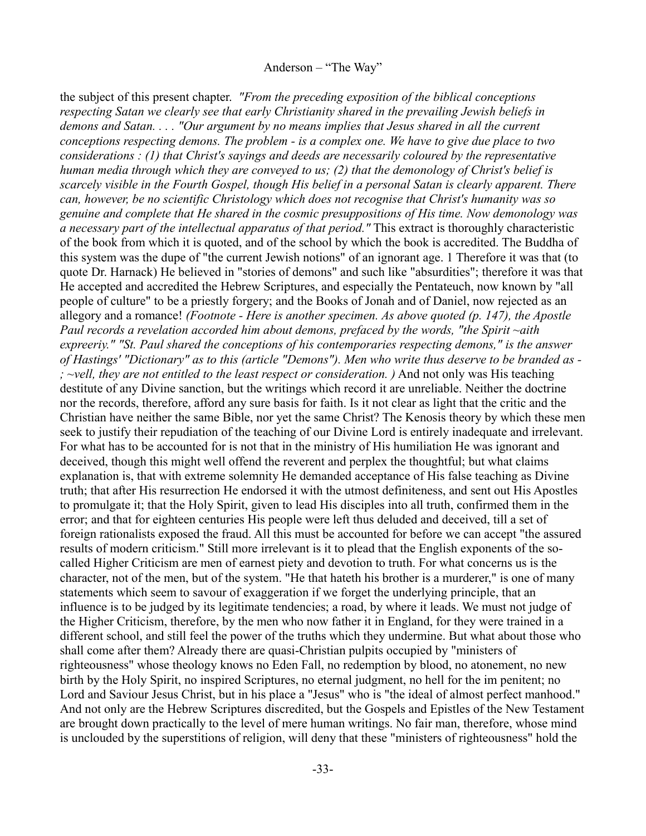the subject of this present chapter. *"From the preceding exposition of the biblical conceptions respecting Satan we clearly see that early Christianity shared in the prevailing Jewish beliefs in demons and Satan. . . . "Our argument by no means implies that Jesus shared in all the current conceptions respecting demons. The problem - is a complex one. We have to give due place to two considerations : (1) that Christ's sayings and deeds are necessarily coloured by the representative human media through which they are conveyed to us; (2) that the demonology of Christ's belief is scarcely visible in the Fourth Gospel, though His belief in a personal Satan is clearly apparent. There can, however, be no scientific Christology which does not recognise that Christ's humanity was so genuine and complete that He shared in the cosmic presuppositions of His time. Now demonology was a necessary part of the intellectual apparatus of that period."* This extract is thoroughly characteristic of the book from which it is quoted, and of the school by which the book is accredited. The Buddha of this system was the dupe of "the current Jewish notions" of an ignorant age. 1 Therefore it was that (to quote Dr. Harnack) He believed in "stories of demons" and such like "absurdities"; therefore it was that He accepted and accredited the Hebrew Scriptures, and especially the Pentateuch, now known by "all people of culture" to be a priestly forgery; and the Books of Jonah and of Daniel, now rejected as an allegory and a romance! *(Footnote - Here is another specimen. As above quoted (p. 147), the Apostle Paul records a revelation accorded him about demons, prefaced by the words, "the Spirit ~aith expreeriy." "St. Paul shared the conceptions of his contemporaries respecting demons," is the answer of Hastings' "Dictionary" as to this (article "Demons"). Men who write thus deserve to be branded as - ; ~vell, they are not entitled to the least respect or consideration. )* And not only was His teaching destitute of any Divine sanction, but the writings which record it are unreliable. Neither the doctrine nor the records, therefore, afford any sure basis for faith. Is it not clear as light that the critic and the Christian have neither the same Bible, nor yet the same Christ? The Kenosis theory by which these men seek to justify their repudiation of the teaching of our Divine Lord is entirely inadequate and irrelevant. For what has to be accounted for is not that in the ministry of His humiliation He was ignorant and deceived, though this might well offend the reverent and perplex the thoughtful; but what claims explanation is, that with extreme solemnity He demanded acceptance of His false teaching as Divine truth; that after His resurrection He endorsed it with the utmost definiteness, and sent out His Apostles to promulgate it; that the Holy Spirit, given to lead His disciples into all truth, confirmed them in the error; and that for eighteen centuries His people were left thus deluded and deceived, till a set of foreign rationalists exposed the fraud. All this must be accounted for before we can accept "the assured results of modern criticism." Still more irrelevant is it to plead that the English exponents of the socalled Higher Criticism are men of earnest piety and devotion to truth. For what concerns us is the character, not of the men, but of the system. "He that hateth his brother is a murderer," is one of many statements which seem to savour of exaggeration if we forget the underlying principle, that an influence is to be judged by its legitimate tendencies; a road, by where it leads. We must not judge of the Higher Criticism, therefore, by the men who now father it in England, for they were trained in a different school, and still feel the power of the truths which they undermine. But what about those who shall come after them? Already there are quasi-Christian pulpits occupied by "ministers of righteousness" whose theology knows no Eden Fall, no redemption by blood, no atonement, no new birth by the Holy Spirit, no inspired Scriptures, no eternal judgment, no hell for the im penitent; no Lord and Saviour Jesus Christ, but in his place a "Jesus" who is "the ideal of almost perfect manhood." And not only are the Hebrew Scriptures discredited, but the Gospels and Epistles of the New Testament are brought down practically to the level of mere human writings. No fair man, therefore, whose mind is unclouded by the superstitions of religion, will deny that these "ministers of righteousness" hold the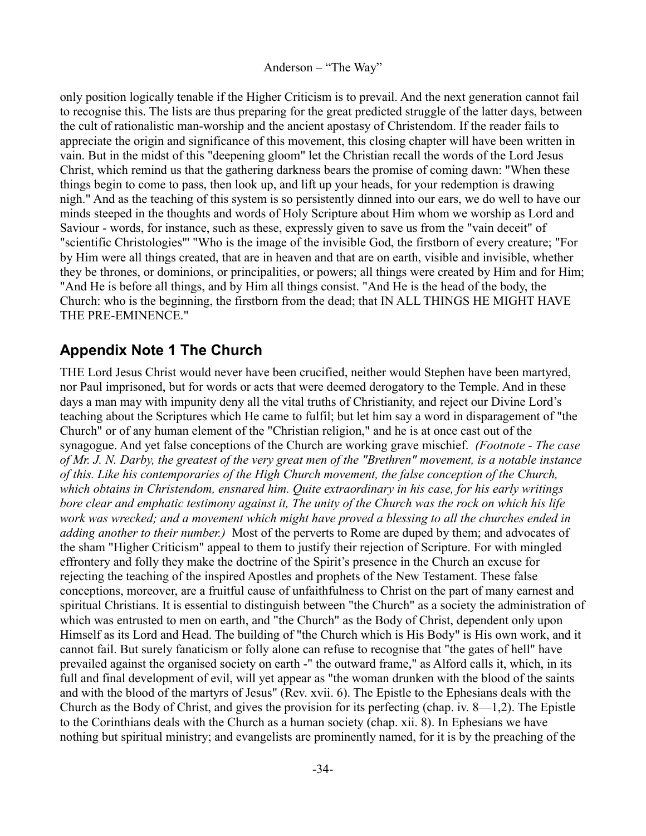only position logically tenable if the Higher Criticism is to prevail. And the next generation cannot fail to recognise this. The lists are thus preparing for the great predicted struggle of the latter days, between the cult of rationalistic man-worship and the ancient apostasy of Christendom. If the reader fails to appreciate the origin and significance of this movement, this closing chapter will have been written in vain. But in the midst of this "deepening gloom" let the Christian recall the words of the Lord Jesus Christ, which remind us that the gathering darkness bears the promise of coming dawn: "When these things begin to come to pass, then look up, and lift up your heads, for your redemption is drawing nigh." And as the teaching of this system is so persistently dinned into our ears, we do well to have our minds steeped in the thoughts and words of Holy Scripture about Him whom we worship as Lord and Saviour - words, for instance, such as these, expressly given to save us from the "vain deceit" of "scientific Christologies"' "Who is the image of the invisible God, the firstborn of every creature; "For by Him were all things created, that are in heaven and that are on earth, visible and invisible, whether they be thrones, or dominions, or principalities, or powers; all things were created by Him and for Him; "And He is before all things, and by Him all things consist. "And He is the head of the body, the Church: who is the beginning, the firstborn from the dead; that IN ALL THINGS HE MIGHT HAVE THE PRE-EMINENCE."

## <span id="page-33-0"></span>**Appendix Note 1 The Church**

THE Lord Jesus Christ would never have been crucified, neither would Stephen have been martyred, nor Paul imprisoned, but for words or acts that were deemed derogatory to the Temple. And in these days a man may with impunity deny all the vital truths of Christianity, and reject our Divine Lord's teaching about the Scriptures which He came to fulfil; but let him say a word in disparagement of "the Church" or of any human element of the "Christian religion," and he is at once cast out of the synagogue. And yet false conceptions of the Church are working grave mischief. *(Footnote - The case of Mr. J. N. Darby, the greatest of the very great men of the "Brethren" movement, is a notable instance of this. Like his contemporaries of the High Church movement, the false conception of the Church, which obtains in Christendom, ensnared him. Quite extraordinary in his case, for his early writings bore clear and emphatic testimony against it, The unity of the Church was the rock on which his life work was wrecked; and a movement which might have proved a blessing to all the churches ended in adding another to their number.)* Most of the perverts to Rome are duped by them; and advocates of the sham "Higher Criticism" appeal to them to justify their rejection of Scripture. For with mingled effrontery and folly they make the doctrine of the Spirit's presence in the Church an excuse for rejecting the teaching of the inspired Apostles and prophets of the New Testament. These false conceptions, moreover, are a fruitful cause of unfaithfulness to Christ on the part of many earnest and spiritual Christians. It is essential to distinguish between "the Church" as a society the administration of which was entrusted to men on earth, and "the Church" as the Body of Christ, dependent only upon Himself as its Lord and Head. The building of "the Church which is His Body" is His own work, and it cannot fail. But surely fanaticism or folly alone can refuse to recognise that "the gates of hell" have prevailed against the organised society on earth -" the outward frame," as Alford calls it, which, in its full and final development of evil, will yet appear as "the woman drunken with the blood of the saints and with the blood of the martyrs of Jesus" (Rev. xvii. 6). The Epistle to the Ephesians deals with the Church as the Body of Christ, and gives the provision for its perfecting (chap. iv. 8—1,2). The Epistle to the Corinthians deals with the Church as a human society (chap. xii. 8). In Ephesians we have nothing but spiritual ministry; and evangelists are prominently named, for it is by the preaching of the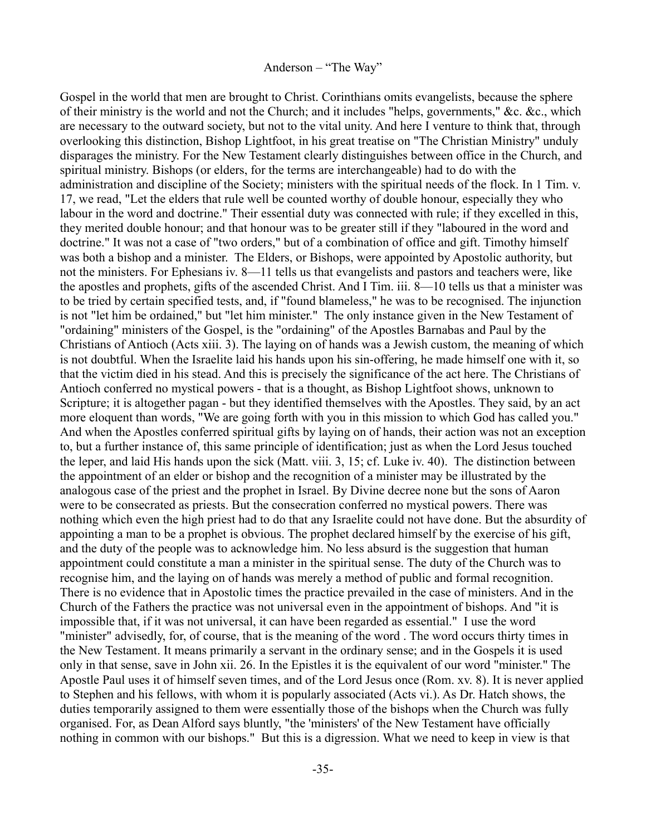Gospel in the world that men are brought to Christ. Corinthians omits evangelists, because the sphere of their ministry is the world and not the Church; and it includes "helps, governments," &c. &c., which are necessary to the outward society, but not to the vital unity. And here I venture to think that, through overlooking this distinction, Bishop Lightfoot, in his great treatise on "The Christian Ministry" unduly disparages the ministry. For the New Testament clearly distinguishes between office in the Church, and spiritual ministry. Bishops (or elders, for the terms are interchangeable) had to do with the administration and discipline of the Society; ministers with the spiritual needs of the flock. In 1 Tim. v. 17, we read, "Let the elders that rule well be counted worthy of double honour, especially they who labour in the word and doctrine." Their essential duty was connected with rule; if they excelled in this, they merited double honour; and that honour was to be greater still if they "laboured in the word and doctrine." It was not a case of "two orders," but of a combination of office and gift. Timothy himself was both a bishop and a minister. The Elders, or Bishops, were appointed by Apostolic authority, but not the ministers. For Ephesians iv. 8—11 tells us that evangelists and pastors and teachers were, like the apostles and prophets, gifts of the ascended Christ. And I Tim. iii. 8—10 tells us that a minister was to be tried by certain specified tests, and, if "found blameless," he was to be recognised. The injunction is not "let him be ordained," but "let him minister." The only instance given in the New Testament of "ordaining" ministers of the Gospel, is the "ordaining" of the Apostles Barnabas and Paul by the Christians of Antioch (Acts xiii. 3). The laying on of hands was a Jewish custom, the meaning of which is not doubtful. When the Israelite laid his hands upon his sin-offering, he made himself one with it, so that the victim died in his stead. And this is precisely the significance of the act here. The Christians of Antioch conferred no mystical powers - that is a thought, as Bishop Lightfoot shows, unknown to Scripture; it is altogether pagan - but they identified themselves with the Apostles. They said, by an act more eloquent than words, "We are going forth with you in this mission to which God has called you." And when the Apostles conferred spiritual gifts by laying on of hands, their action was not an exception to, but a further instance of, this same principle of identification; just as when the Lord Jesus touched the leper, and laid His hands upon the sick (Matt. viii. 3, 15; cf. Luke iv. 40). The distinction between the appointment of an elder or bishop and the recognition of a minister may be illustrated by the analogous case of the priest and the prophet in Israel. By Divine decree none but the sons of Aaron were to be consecrated as priests. But the consecration conferred no mystical powers. There was nothing which even the high priest had to do that any Israelite could not have done. But the absurdity of appointing a man to be a prophet is obvious. The prophet declared himself by the exercise of his gift, and the duty of the people was to acknowledge him. No less absurd is the suggestion that human appointment could constitute a man a minister in the spiritual sense. The duty of the Church was to recognise him, and the laying on of hands was merely a method of public and formal recognition. There is no evidence that in Apostolic times the practice prevailed in the case of ministers. And in the Church of the Fathers the practice was not universal even in the appointment of bishops. And "it is impossible that, if it was not universal, it can have been regarded as essential." I use the word "minister" advisedly, for, of course, that is the meaning of the word . The word occurs thirty times in the New Testament. It means primarily a servant in the ordinary sense; and in the Gospels it is used only in that sense, save in John xii. 26. In the Epistles it is the equivalent of our word "minister." The Apostle Paul uses it of himself seven times, and of the Lord Jesus once (Rom. xv. 8). It is never applied to Stephen and his fellows, with whom it is popularly associated (Acts vi.). As Dr. Hatch shows, the duties temporarily assigned to them were essentially those of the bishops when the Church was fully organised. For, as Dean Alford says bluntly, "the 'ministers' of the New Testament have officially nothing in common with our bishops." But this is a digression. What we need to keep in view is that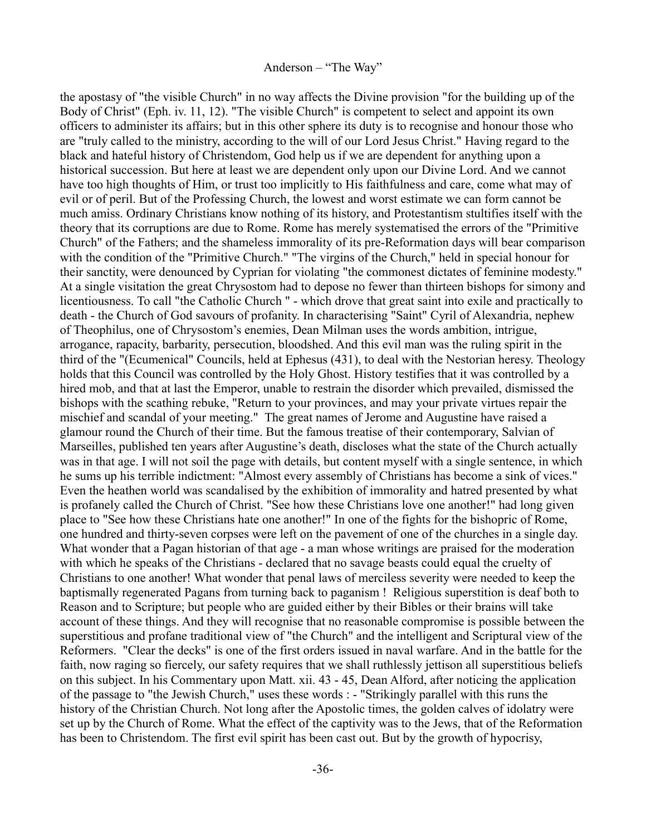the apostasy of "the visible Church" in no way affects the Divine provision "for the building up of the Body of Christ" (Eph. iv. 11, 12). "The visible Church" is competent to select and appoint its own officers to administer its affairs; but in this other sphere its duty is to recognise and honour those who are "truly called to the ministry, according to the will of our Lord Jesus Christ." Having regard to the black and hateful history of Christendom, God help us if we are dependent for anything upon a historical succession. But here at least we are dependent only upon our Divine Lord. And we cannot have too high thoughts of Him, or trust too implicitly to His faithfulness and care, come what may of evil or of peril. But of the Professing Church, the lowest and worst estimate we can form cannot be much amiss. Ordinary Christians know nothing of its history, and Protestantism stultifies itself with the theory that its corruptions are due to Rome. Rome has merely systematised the errors of the "Primitive Church" of the Fathers; and the shameless immorality of its pre-Reformation days will bear comparison with the condition of the "Primitive Church." "The virgins of the Church," held in special honour for their sanctity, were denounced by Cyprian for violating "the commonest dictates of feminine modesty." At a single visitation the great Chrysostom had to depose no fewer than thirteen bishops for simony and licentiousness. To call "the Catholic Church " - which drove that great saint into exile and practically to death - the Church of God savours of profanity. In characterising "Saint" Cyril of Alexandria, nephew of Theophilus, one of Chrysostom's enemies, Dean Milman uses the words ambition, intrigue, arrogance, rapacity, barbarity, persecution, bloodshed. And this evil man was the ruling spirit in the third of the "(Ecumenical" Councils, held at Ephesus (431), to deal with the Nestorian heresy. Theology holds that this Council was controlled by the Holy Ghost. History testifies that it was controlled by a hired mob, and that at last the Emperor, unable to restrain the disorder which prevailed, dismissed the bishops with the scathing rebuke, "Return to your provinces, and may your private virtues repair the mischief and scandal of your meeting." The great names of Jerome and Augustine have raised a glamour round the Church of their time. But the famous treatise of their contemporary, Salvian of Marseilles, published ten years after Augustine's death, discloses what the state of the Church actually was in that age. I will not soil the page with details, but content myself with a single sentence, in which he sums up his terrible indictment: "Almost every assembly of Christians has become a sink of vices." Even the heathen world was scandalised by the exhibition of immorality and hatred presented by what is profanely called the Church of Christ. "See how these Christians love one another!" had long given place to "See how these Christians hate one another!" In one of the fights for the bishopric of Rome, one hundred and thirty-seven corpses were left on the pavement of one of the churches in a single day. What wonder that a Pagan historian of that age - a man whose writings are praised for the moderation with which he speaks of the Christians - declared that no savage beasts could equal the cruelty of Christians to one another! What wonder that penal laws of merciless severity were needed to keep the baptismally regenerated Pagans from turning back to paganism ! Religious superstition is deaf both to Reason and to Scripture; but people who are guided either by their Bibles or their brains will take account of these things. And they will recognise that no reasonable compromise is possible between the superstitious and profane traditional view of "the Church" and the intelligent and Scriptural view of the Reformers. "Clear the decks" is one of the first orders issued in naval warfare. And in the battle for the faith, now raging so fiercely, our safety requires that we shall ruthlessly jettison all superstitious beliefs on this subject. In his Commentary upon Matt. xii. 43 - 45, Dean Alford, after noticing the application of the passage to "the Jewish Church," uses these words : - "Strikingly parallel with this runs the history of the Christian Church. Not long after the Apostolic times, the golden calves of idolatry were set up by the Church of Rome. What the effect of the captivity was to the Jews, that of the Reformation has been to Christendom. The first evil spirit has been cast out. But by the growth of hypocrisy,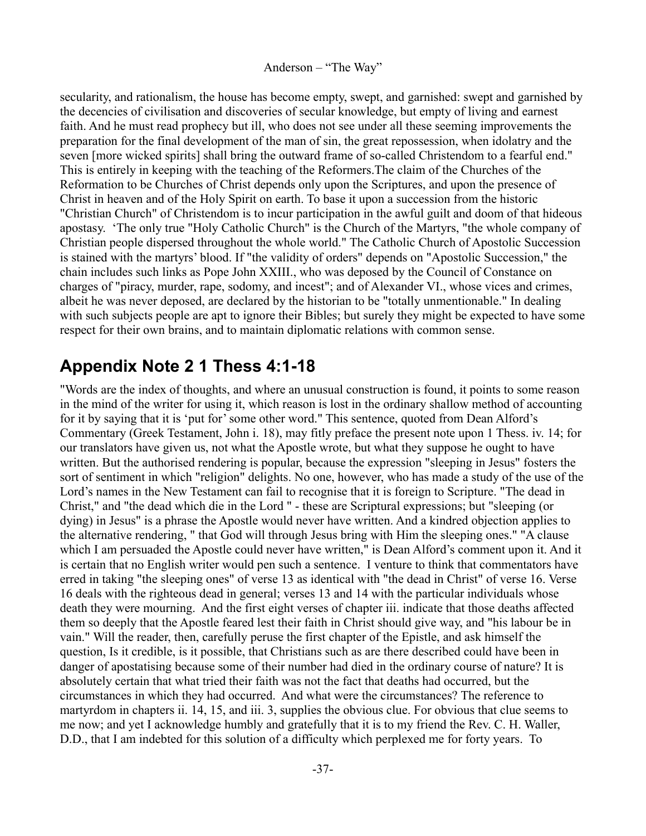secularity, and rationalism, the house has become empty, swept, and garnished: swept and garnished by the decencies of civilisation and discoveries of secular knowledge, but empty of living and earnest faith. And he must read prophecy but ill, who does not see under all these seeming improvements the preparation for the final development of the man of sin, the great repossession, when idolatry and the seven [more wicked spirits] shall bring the outward frame of so-called Christendom to a fearful end." This is entirely in keeping with the teaching of the Reformers.The claim of the Churches of the Reformation to be Churches of Christ depends only upon the Scriptures, and upon the presence of Christ in heaven and of the Holy Spirit on earth. To base it upon a succession from the historic "Christian Church" of Christendom is to incur participation in the awful guilt and doom of that hideous apostasy. 'The only true "Holy Catholic Church" is the Church of the Martyrs, "the whole company of Christian people dispersed throughout the whole world." The Catholic Church of Apostolic Succession is stained with the martyrs' blood. If "the validity of orders" depends on "Apostolic Succession," the chain includes such links as Pope John XXIII., who was deposed by the Council of Constance on charges of "piracy, murder, rape, sodomy, and incest"; and of Alexander VI., whose vices and crimes, albeit he was never deposed, are declared by the historian to be "totally unmentionable." In dealing with such subjects people are apt to ignore their Bibles; but surely they might be expected to have some respect for their own brains, and to maintain diplomatic relations with common sense.

# <span id="page-36-0"></span>**Appendix Note 2 1 Thess 4:1-18**

"Words are the index of thoughts, and where an unusual construction is found, it points to some reason in the mind of the writer for using it, which reason is lost in the ordinary shallow method of accounting for it by saying that it is 'put for' some other word." This sentence, quoted from Dean Alford's Commentary (Greek Testament, John i. 18), may fitly preface the present note upon 1 Thess. iv. 14; for our translators have given us, not what the Apostle wrote, but what they suppose he ought to have written. But the authorised rendering is popular, because the expression "sleeping in Jesus" fosters the sort of sentiment in which "religion" delights. No one, however, who has made a study of the use of the Lord's names in the New Testament can fail to recognise that it is foreign to Scripture. "The dead in Christ," and "the dead which die in the Lord " - these are Scriptural expressions; but "sleeping (or dying) in Jesus" is a phrase the Apostle would never have written. And a kindred objection applies to the alternative rendering, " that God will through Jesus bring with Him the sleeping ones." "A clause which I am persuaded the Apostle could never have written," is Dean Alford's comment upon it. And it is certain that no English writer would pen such a sentence. I venture to think that commentators have erred in taking "the sleeping ones" of verse 13 as identical with "the dead in Christ" of verse 16. Verse 16 deals with the righteous dead in general; verses 13 and 14 with the particular individuals whose death they were mourning. And the first eight verses of chapter iii. indicate that those deaths affected them so deeply that the Apostle feared lest their faith in Christ should give way, and "his labour be in vain." Will the reader, then, carefully peruse the first chapter of the Epistle, and ask himself the question, Is it credible, is it possible, that Christians such as are there described could have been in danger of apostatising because some of their number had died in the ordinary course of nature? It is absolutely certain that what tried their faith was not the fact that deaths had occurred, but the circumstances in which they had occurred. And what were the circumstances? The reference to martyrdom in chapters ii. 14, 15, and iii. 3, supplies the obvious clue. For obvious that clue seems to me now; and yet I acknowledge humbly and gratefully that it is to my friend the Rev. C. H. Waller, D.D., that I am indebted for this solution of a difficulty which perplexed me for forty years. To